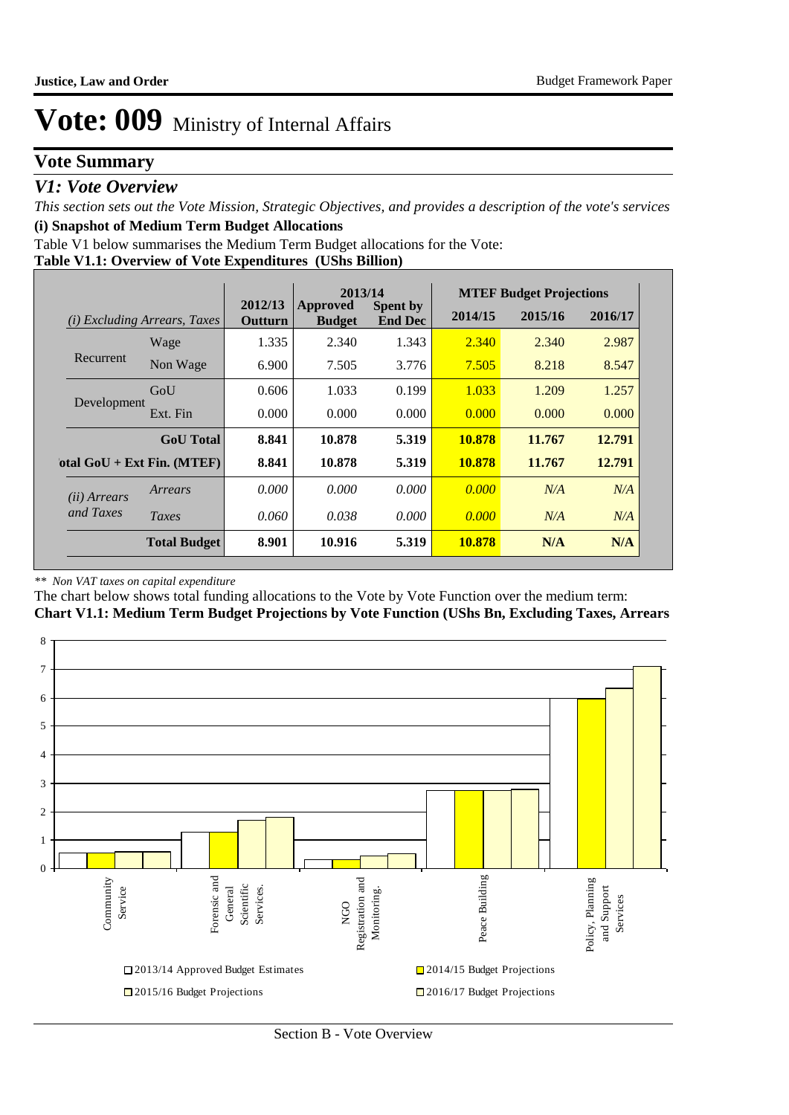### **Vote Summary**

### *V1: Vote Overview*

*This section sets out the Vote Mission, Strategic Objectives, and provides a description of the vote's services* **(i) Snapshot of Medium Term Budget Allocations** 

Table V1 below summarises the Medium Term Budget allocations for the Vote:

#### **Table V1.1: Overview of Vote Expenditures (UShs Billion)**

|                       |                                     | 2013/14            |                           |                                   | <b>MTEF Budget Projections</b> |         |         |
|-----------------------|-------------------------------------|--------------------|---------------------------|-----------------------------------|--------------------------------|---------|---------|
|                       | <i>(i)</i> Excluding Arrears, Taxes | 2012/13<br>Outturn | Approved<br><b>Budget</b> | <b>Spent by</b><br><b>End Dec</b> | 2014/15                        | 2015/16 | 2016/17 |
| Recurrent             | Wage                                | 1.335              | 2.340                     | 1.343                             | 2.340                          | 2.340   | 2.987   |
|                       | Non Wage                            | 6.900              | 7.505                     | 3.776                             | 7.505                          | 8.218   | 8.547   |
|                       | GoU                                 | 0.606              | 1.033                     | 0.199                             | 1.033                          | 1.209   | 1.257   |
| Development           | Ext. Fin                            | 0.000              | 0.000                     | 0.000                             | 0.000                          | 0.000   | 0.000   |
|                       | <b>GoU</b> Total                    | 8.841              | 10.878                    | 5.319                             | 10.878                         | 11.767  | 12.791  |
|                       | otal $GoU + Ext Fin. (MTEF)$        | 8.841              | 10.878                    | 5.319                             | 10.878                         | 11.767  | 12.791  |
| ( <i>ii</i> ) Arrears | Arrears                             | 0.000              | 0.000                     | 0.000                             | 0.000                          | N/A     | N/A     |
| and Taxes             | Taxes                               | 0.060              | 0.038                     | 0.000                             | 0.000                          | N/A     | N/A     |
|                       | <b>Total Budget</b>                 | 8.901              | 10.916                    | 5.319                             | 10.878                         | N/A     | N/A     |

#### *\*\* Non VAT taxes on capital expenditure*

The chart below shows total funding allocations to the Vote by Vote Function over the medium term:

**Chart V1.1: Medium Term Budget Projections by Vote Function (UShs Bn, Excluding Taxes, Arrears**

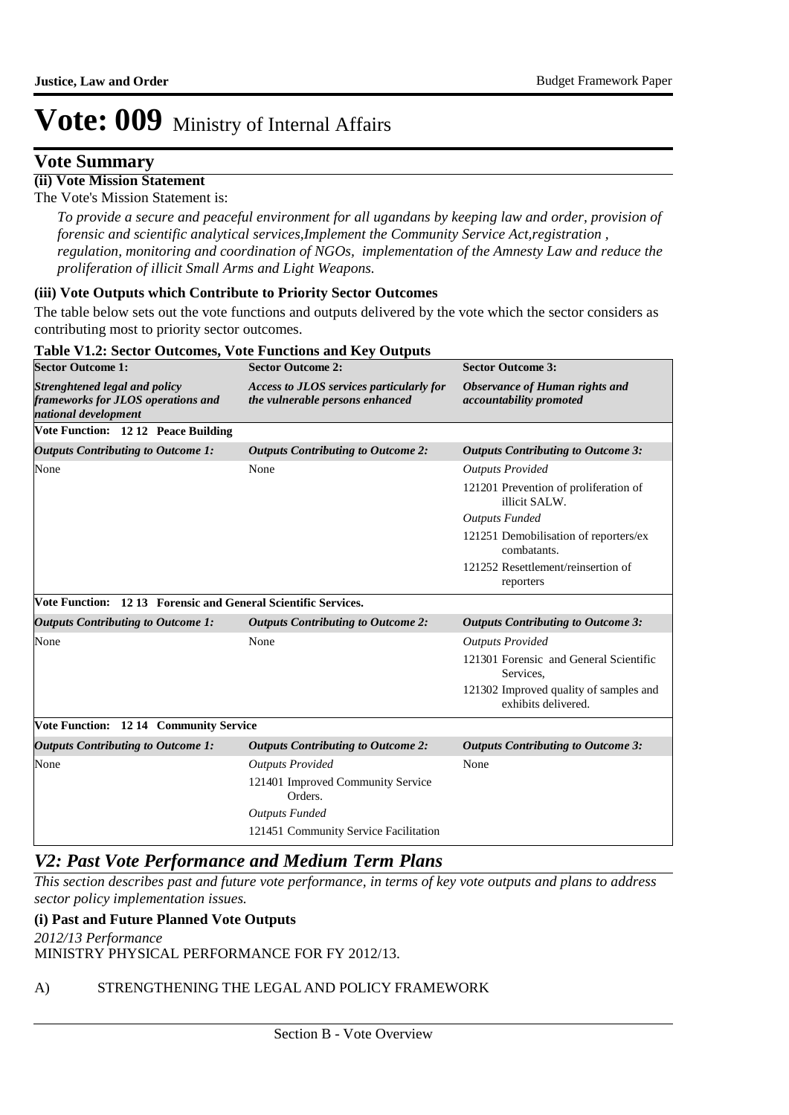### **Vote Summary**

**(ii) Vote Mission Statement** The Vote's Mission Statement is:

> *To provide a secure and peaceful environment for all ugandans by keeping law and order, provision of forensic and scientific analytical services,Implement the Community Service Act,registration , regulation, monitoring and coordination of NGOs, implementation of the Amnesty Law and reduce the proliferation of illicit Small Arms and Light Weapons.*

#### **(iii) Vote Outputs which Contribute to Priority Sector Outcomes**

The table below sets out the vote functions and outputs delivered by the vote which the sector considers as contributing most to priority sector outcomes.

#### **Table V1.2: Sector Outcomes, Vote Functions and Key Outputs Sector Outcome 1: Sector Outcome 2: Sector Outcome 3:** *Strenghtened legal and policy frameworks for JLOS operations and national development Access to JLOS services particularly for the vulnerable persons enhanced Observance of Human rights and accountability promoted* **Vote Function: 12 12 Peace Building** *Outputs Contributing to Outcome 1: Outputs Contributing to Outcome 2: Outputs Contributing to Outcome 3:* None None *Outputs Provided* 121201 Prevention of proliferation of illicit SALW. *Outputs Funded* 121251 Demobilisation of reporters/ex combatants. 121252 Resettlement/reinsertion of reporters **Vote Function: 12 13 Forensic and General Scientific Services.** *Outputs Contributing to Outcome 1: Outputs Contributing to Outcome 2: Outputs Contributing to Outcome 3:* None **None None** *Outputs Provided* 121301 Forensic and General Scientific Services, 121302 Improved quality of samples and exhibits delivered. **Vote Function: 12 14 Community Service** *Outputs Contributing to Outcome 1: Outputs Contributing to Outcome 2: Outputs Contributing to Outcome 3:* None *Outputs Provided* None 121401 Improved Community Service Orders. *Outputs Funded* 121451 Community Service Facilitation

### *V2: Past Vote Performance and Medium Term Plans*

*This section describes past and future vote performance, in terms of key vote outputs and plans to address sector policy implementation issues.* 

### **(i) Past and Future Planned Vote Outputs**

MINISTRY PHYSICAL PERFORMANCE FOR FY 2012/13. *2012/13 Performance*

### A) STRENGTHENING THE LEGAL AND POLICY FRAMEWORK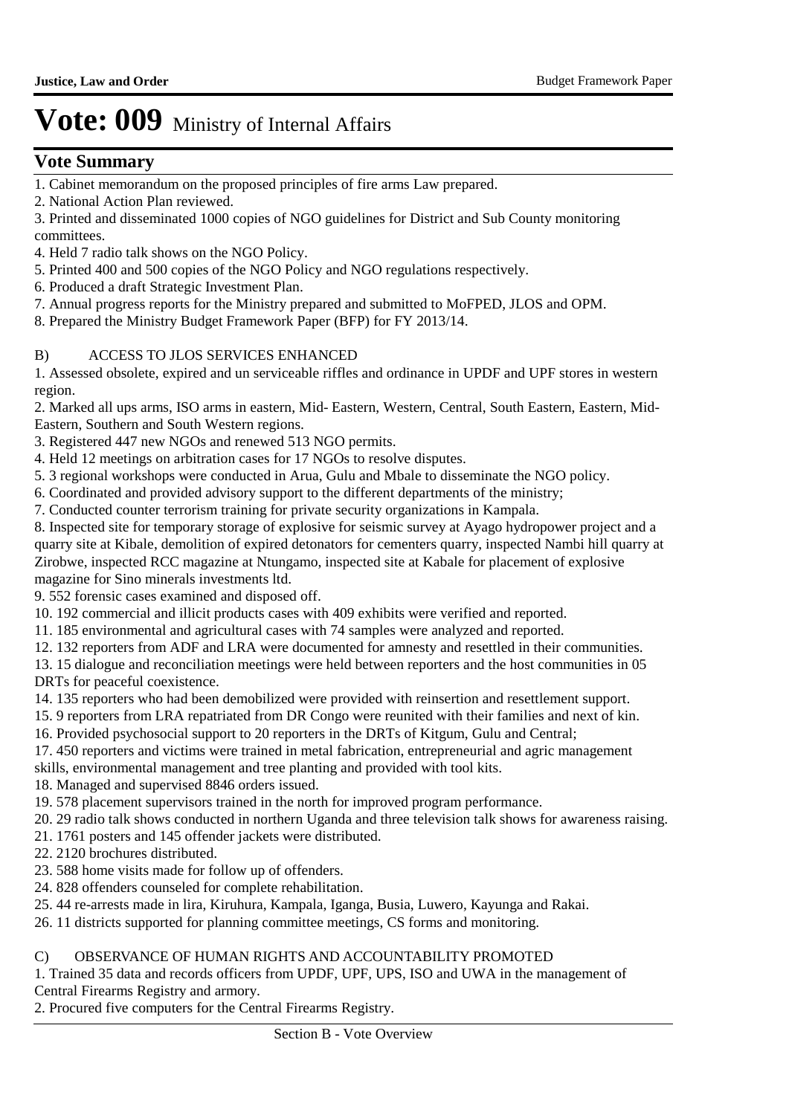### **Vote Summary**

- 1. Cabinet memorandum on the proposed principles of fire arms Law prepared.
- 2. National Action Plan reviewed.
- 3. Printed and disseminated 1000 copies of NGO guidelines for District and Sub County monitoring committees.
- 4. Held 7 radio talk shows on the NGO Policy.
- 5. Printed 400 and 500 copies of the NGO Policy and NGO regulations respectively.
- 6. Produced a draft Strategic Investment Plan.
- 7. Annual progress reports for the Ministry prepared and submitted to MoFPED, JLOS and OPM.
- 8. Prepared the Ministry Budget Framework Paper (BFP) for FY 2013/14.

### B) ACCESS TO JLOS SERVICES ENHANCED

1. Assessed obsolete, expired and un serviceable riffles and ordinance in UPDF and UPF stores in western region.

2. Marked all ups arms, ISO arms in eastern, Mid- Eastern, Western, Central, South Eastern, Eastern, Mid-Eastern, Southern and South Western regions.

- 3. Registered 447 new NGOs and renewed 513 NGO permits.
- 4. Held 12 meetings on arbitration cases for 17 NGOs to resolve disputes.
- 5. 3 regional workshops were conducted in Arua, Gulu and Mbale to disseminate the NGO policy.
- 6. Coordinated and provided advisory support to the different departments of the ministry;
- 7. Conducted counter terrorism training for private security organizations in Kampala.
- 8. Inspected site for temporary storage of explosive for seismic survey at Ayago hydropower project and a quarry site at Kibale, demolition of expired detonators for cementers quarry, inspected Nambi hill quarry at Zirobwe, inspected RCC magazine at Ntungamo, inspected site at Kabale for placement of explosive magazine for Sino minerals investments ltd.
- 9. 552 forensic cases examined and disposed off.
- 10. 192 commercial and illicit products cases with 409 exhibits were verified and reported.
- 11. 185 environmental and agricultural cases with 74 samples were analyzed and reported.
- 12. 132 reporters from ADF and LRA were documented for amnesty and resettled in their communities.

13. 15 dialogue and reconciliation meetings were held between reporters and the host communities in 05 DRTs for peaceful coexistence.

- 14. 135 reporters who had been demobilized were provided with reinsertion and resettlement support.
- 15. 9 reporters from LRA repatriated from DR Congo were reunited with their families and next of kin.
- 16. Provided psychosocial support to 20 reporters in the DRTs of Kitgum, Gulu and Central;
- 17. 450 reporters and victims were trained in metal fabrication, entrepreneurial and agric management
- skills, environmental management and tree planting and provided with tool kits.
- 18. Managed and supervised 8846 orders issued.
- 19. 578 placement supervisors trained in the north for improved program performance.
- 20. 29 radio talk shows conducted in northern Uganda and three television talk shows for awareness raising.
- 21. 1761 posters and 145 offender jackets were distributed.
- 22. 2120 brochures distributed.
- 23. 588 home visits made for follow up of offenders.
- 24. 828 offenders counseled for complete rehabilitation.
- 25. 44 re-arrests made in lira, Kiruhura, Kampala, Iganga, Busia, Luwero, Kayunga and Rakai.
- 26. 11 districts supported for planning committee meetings, CS forms and monitoring.

### C) OBSERVANCE OF HUMAN RIGHTS AND ACCOUNTABILITY PROMOTED

1. Trained 35 data and records officers from UPDF, UPF, UPS, ISO and UWA in the management of Central Firearms Registry and armory.

2. Procured five computers for the Central Firearms Registry.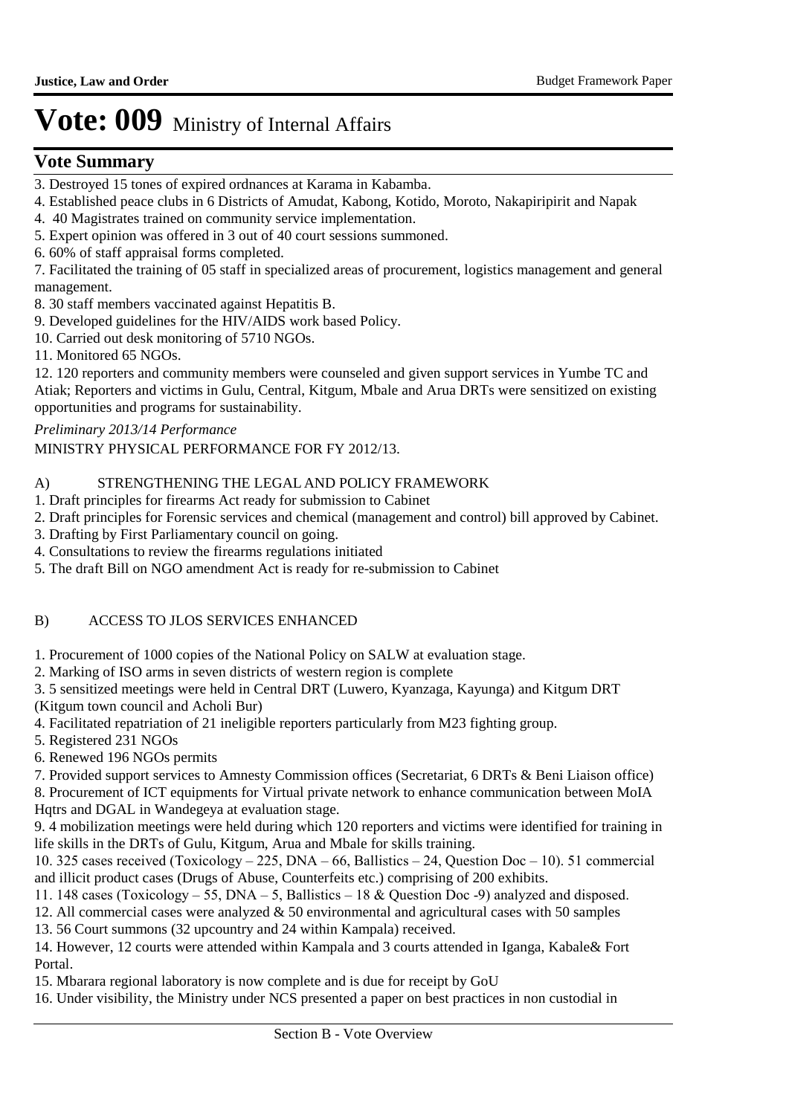### **Vote Summary**

- 3. Destroyed 15 tones of expired ordnances at Karama in Kabamba.
- 4. Established peace clubs in 6 Districts of Amudat, Kabong, Kotido, Moroto, Nakapiripirit and Napak
- 4. 40 Magistrates trained on community service implementation.
- 5. Expert opinion was offered in 3 out of 40 court sessions summoned.
- 6. 60% of staff appraisal forms completed.

7. Facilitated the training of 05 staff in specialized areas of procurement, logistics management and general management.

8. 30 staff members vaccinated against Hepatitis B.

9. Developed guidelines for the HIV/AIDS work based Policy.

- 10. Carried out desk monitoring of 5710 NGOs.
- 11. Monitored 65 NGOs.

12. 120 reporters and community members were counseled and given support services in Yumbe TC and Atiak; Reporters and victims in Gulu, Central, Kitgum, Mbale and Arua DRTs were sensitized on existing opportunities and programs for sustainability.

*Preliminary 2013/14 Performance*

MINISTRY PHYSICAL PERFORMANCE FOR FY 2012/13.

### A) STRENGTHENING THE LEGAL AND POLICY FRAMEWORK

- 1. Draft principles for firearms Act ready for submission to Cabinet
- 2. Draft principles for Forensic services and chemical (management and control) bill approved by Cabinet.
- 3. Drafting by First Parliamentary council on going.
- 4. Consultations to review the firearms regulations initiated
- 5. The draft Bill on NGO amendment Act is ready for re-submission to Cabinet

### B) ACCESS TO JLOS SERVICES ENHANCED

1. Procurement of 1000 copies of the National Policy on SALW at evaluation stage.

- 2. Marking of ISO arms in seven districts of western region is complete
- 3. 5 sensitized meetings were held in Central DRT (Luwero, Kyanzaga, Kayunga) and Kitgum DRT (Kitgum town council and Acholi Bur)
- 4. Facilitated repatriation of 21 ineligible reporters particularly from M23 fighting group.
- 5. Registered 231 NGOs
- 6. Renewed 196 NGOs permits

7. Provided support services to Amnesty Commission offices (Secretariat, 6 DRTs & Beni Liaison office)

8. Procurement of ICT equipments for Virtual private network to enhance communication between MoIA Hqtrs and DGAL in Wandegeya at evaluation stage.

9. 4 mobilization meetings were held during which 120 reporters and victims were identified for training in life skills in the DRTs of Gulu, Kitgum, Arua and Mbale for skills training.

10. 325 cases received (Toxicology – 225, DNA – 66, Ballistics – 24, Question Doc – 10). 51 commercial and illicit product cases (Drugs of Abuse, Counterfeits etc.) comprising of 200 exhibits.

11. 148 cases (Toxicology – 55, DNA – 5, Ballistics – 18 & Question Doc -9) analyzed and disposed.

12. All commercial cases were analyzed  $& 50$  environmental and agricultural cases with 50 samples

13. 56 Court summons (32 upcountry and 24 within Kampala) received.

14. However, 12 courts were attended within Kampala and 3 courts attended in Iganga, Kabale& Fort Portal.

15. Mbarara regional laboratory is now complete and is due for receipt by GoU

16. Under visibility, the Ministry under NCS presented a paper on best practices in non custodial in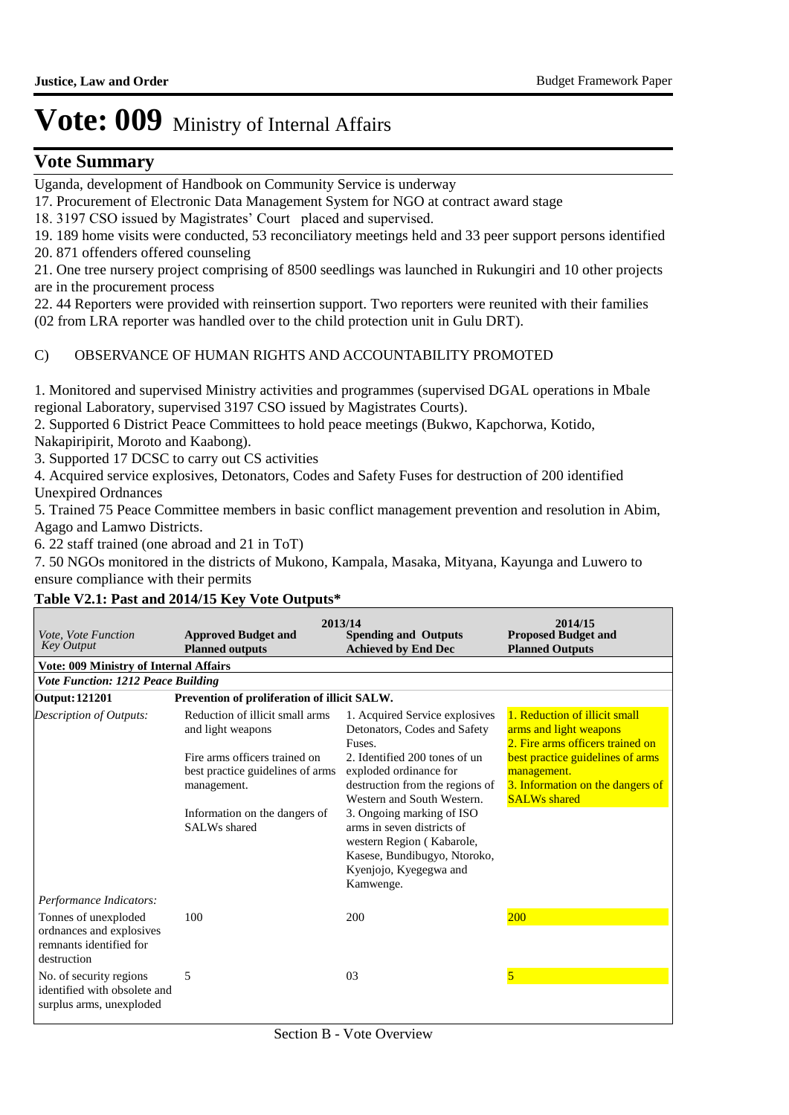### **Vote Summary**

Uganda, development of Handbook on Community Service is underway

17. Procurement of Electronic Data Management System for NGO at contract award stage

18. 3197 CSO issued by Magistrates' Court placed and supervised.

19. 189 home visits were conducted, 53 reconciliatory meetings held and 33 peer support persons identified

20. 871 offenders offered counseling

21. One tree nursery project comprising of 8500 seedlings was launched in Rukungiri and 10 other projects are in the procurement process

22. 44 Reporters were provided with reinsertion support. Two reporters were reunited with their families (02 from LRA reporter was handled over to the child protection unit in Gulu DRT).

C) OBSERVANCE OF HUMAN RIGHTS AND ACCOUNTABILITY PROMOTED

1. Monitored and supervised Ministry activities and programmes (supervised DGAL operations in Mbale regional Laboratory, supervised 3197 CSO issued by Magistrates Courts).

2. Supported 6 District Peace Committees to hold peace meetings (Bukwo, Kapchorwa, Kotido,

Nakapiripirit, Moroto and Kaabong).

3. Supported 17 DCSC to carry out CS activities

4. Acquired service explosives, Detonators, Codes and Safety Fuses for destruction of 200 identified Unexpired Ordnances

5. Trained 75 Peace Committee members in basic conflict management prevention and resolution in Abim, Agago and Lamwo Districts.

6. 22 staff trained (one abroad and 21 in ToT)

7. 50 NGOs monitored in the districts of Mukono, Kampala, Masaka, Mityana, Kayunga and Luwero to ensure compliance with their permits

### **Table V2.1: Past and 2014/15 Key Vote Outputs\***

| Vote, Vote Function<br><b>Key Output</b>                                                                              | <b>Approved Budget and</b><br><b>Planned outputs</b>                                                                                                                                      | 2013/14<br><b>Spending and Outputs</b><br><b>Achieved by End Dec</b>                                                                                                                                                                                                                                                                                   | 2014/15<br><b>Proposed Budget and</b><br><b>Planned Outputs</b>                                                                                                                                           |
|-----------------------------------------------------------------------------------------------------------------------|-------------------------------------------------------------------------------------------------------------------------------------------------------------------------------------------|--------------------------------------------------------------------------------------------------------------------------------------------------------------------------------------------------------------------------------------------------------------------------------------------------------------------------------------------------------|-----------------------------------------------------------------------------------------------------------------------------------------------------------------------------------------------------------|
| <b>Vote: 009 Ministry of Internal Affairs</b>                                                                         |                                                                                                                                                                                           |                                                                                                                                                                                                                                                                                                                                                        |                                                                                                                                                                                                           |
| <b>Vote Function: 1212 Peace Building</b>                                                                             |                                                                                                                                                                                           |                                                                                                                                                                                                                                                                                                                                                        |                                                                                                                                                                                                           |
| Prevention of proliferation of illicit SALW.<br><b>Output: 121201</b>                                                 |                                                                                                                                                                                           |                                                                                                                                                                                                                                                                                                                                                        |                                                                                                                                                                                                           |
| Description of Outputs:                                                                                               | Reduction of illicit small arms<br>and light weapons<br>Fire arms officers trained on<br>best practice guidelines of arms<br>management.<br>Information on the dangers of<br>SALWs shared | 1. Acquired Service explosives<br>Detonators, Codes and Safety<br>Fuses.<br>2. Identified 200 tones of un<br>exploded ordinance for<br>destruction from the regions of<br>Western and South Western.<br>3. Ongoing marking of ISO<br>arms in seven districts of<br>western Region (Kabarole,<br>Kasese, Bundibugyo, Ntoroko,<br>Kyenjojo, Kyegegwa and | 1. Reduction of illicit small<br>arms and light weapons<br>2. Fire arms officers trained on<br>best practice guidelines of arms<br>management.<br>3. Information on the dangers of<br><b>SALWs</b> shared |
|                                                                                                                       |                                                                                                                                                                                           | Kamwenge.                                                                                                                                                                                                                                                                                                                                              |                                                                                                                                                                                                           |
| Performance Indicators:<br>Tonnes of unexploded<br>ordnances and explosives<br>remnants identified for<br>destruction | 100                                                                                                                                                                                       | 200                                                                                                                                                                                                                                                                                                                                                    | <b>200</b>                                                                                                                                                                                                |
| No. of security regions<br>identified with obsolete and<br>surplus arms, unexploded                                   | 5                                                                                                                                                                                         | 03                                                                                                                                                                                                                                                                                                                                                     | $\overline{5}$                                                                                                                                                                                            |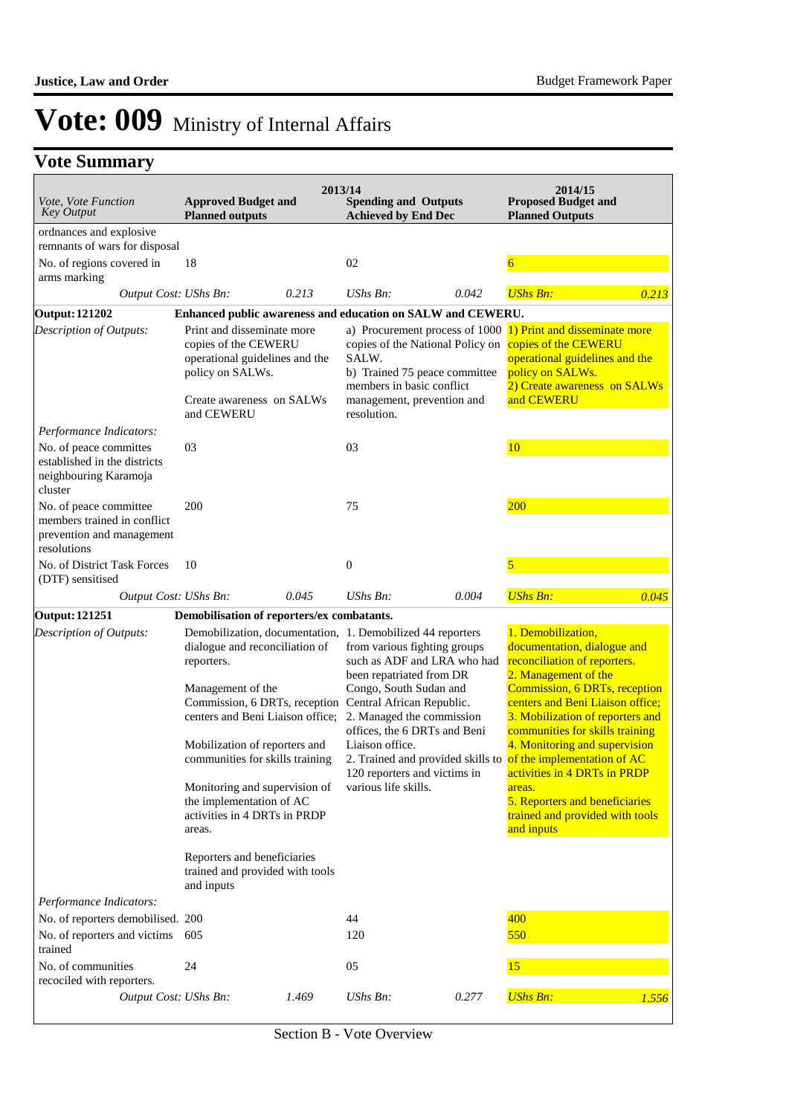## **Vote Summary**

| <i>Vote, Vote Function</i><br><b>Key Output</b>                                                   | <b>Approved Budget and</b><br><b>Planned outputs</b>                                                                                                                                                                                                                                                                                                                                |       | 2013/14<br><b>Spending and Outputs</b><br><b>Achieved by End Dec</b>                                                                                                                                                                                                                                                                                 |       | 2014/15<br><b>Proposed Budget and</b><br><b>Planned Outputs</b>                                                                                                                                                                                                                                                                                                                                                                                                                      |       |
|---------------------------------------------------------------------------------------------------|-------------------------------------------------------------------------------------------------------------------------------------------------------------------------------------------------------------------------------------------------------------------------------------------------------------------------------------------------------------------------------------|-------|------------------------------------------------------------------------------------------------------------------------------------------------------------------------------------------------------------------------------------------------------------------------------------------------------------------------------------------------------|-------|--------------------------------------------------------------------------------------------------------------------------------------------------------------------------------------------------------------------------------------------------------------------------------------------------------------------------------------------------------------------------------------------------------------------------------------------------------------------------------------|-------|
| ordnances and explosive                                                                           |                                                                                                                                                                                                                                                                                                                                                                                     |       |                                                                                                                                                                                                                                                                                                                                                      |       |                                                                                                                                                                                                                                                                                                                                                                                                                                                                                      |       |
| remnants of wars for disposal<br>No. of regions covered in                                        | 18                                                                                                                                                                                                                                                                                                                                                                                  |       | 02                                                                                                                                                                                                                                                                                                                                                   |       | $\overline{6}$                                                                                                                                                                                                                                                                                                                                                                                                                                                                       |       |
| arms marking                                                                                      |                                                                                                                                                                                                                                                                                                                                                                                     |       |                                                                                                                                                                                                                                                                                                                                                      |       |                                                                                                                                                                                                                                                                                                                                                                                                                                                                                      |       |
| Output Cost: UShs Bn:                                                                             |                                                                                                                                                                                                                                                                                                                                                                                     | 0.213 | UShs Bn:                                                                                                                                                                                                                                                                                                                                             | 0.042 | <b>UShs Bn:</b>                                                                                                                                                                                                                                                                                                                                                                                                                                                                      | 0.213 |
| <b>Output: 121202</b>                                                                             |                                                                                                                                                                                                                                                                                                                                                                                     |       | Enhanced public awareness and education on SALW and CEWERU.                                                                                                                                                                                                                                                                                          |       |                                                                                                                                                                                                                                                                                                                                                                                                                                                                                      |       |
| Description of Outputs:                                                                           | Print and disseminate more<br>copies of the CEWERU<br>operational guidelines and the<br>policy on SALWs.<br>Create awareness on SALWs<br>and CEWERU                                                                                                                                                                                                                                 |       | copies of the National Policy on<br>SALW.<br>b) Trained 75 peace committee<br>members in basic conflict<br>management, prevention and<br>resolution.                                                                                                                                                                                                 |       | a) Procurement process of 1000 1) Print and disseminate more<br>copies of the CEWERU<br>operational guidelines and the<br>policy on SALWs.<br>2) Create awareness on SALWs<br>and CEWERU                                                                                                                                                                                                                                                                                             |       |
| Performance Indicators:                                                                           |                                                                                                                                                                                                                                                                                                                                                                                     |       |                                                                                                                                                                                                                                                                                                                                                      |       |                                                                                                                                                                                                                                                                                                                                                                                                                                                                                      |       |
| No. of peace committes<br>established in the districts<br>neighbouring Karamoja<br>cluster        | 03                                                                                                                                                                                                                                                                                                                                                                                  |       | 03                                                                                                                                                                                                                                                                                                                                                   |       | 10                                                                                                                                                                                                                                                                                                                                                                                                                                                                                   |       |
| No. of peace committee<br>members trained in conflict<br>prevention and management<br>resolutions | 200                                                                                                                                                                                                                                                                                                                                                                                 |       | 75                                                                                                                                                                                                                                                                                                                                                   |       | 200                                                                                                                                                                                                                                                                                                                                                                                                                                                                                  |       |
| No. of District Task Forces<br>(DTF) sensitised                                                   | 10                                                                                                                                                                                                                                                                                                                                                                                  |       | $\boldsymbol{0}$                                                                                                                                                                                                                                                                                                                                     |       | 5                                                                                                                                                                                                                                                                                                                                                                                                                                                                                    |       |
| Output Cost: UShs Bn:                                                                             |                                                                                                                                                                                                                                                                                                                                                                                     | 0.045 | $UShs Bn$ :                                                                                                                                                                                                                                                                                                                                          | 0.004 | <b>UShs Bn:</b>                                                                                                                                                                                                                                                                                                                                                                                                                                                                      | 0.045 |
| <b>Output: 121251</b>                                                                             | Demobilisation of reporters/ex combatants.                                                                                                                                                                                                                                                                                                                                          |       |                                                                                                                                                                                                                                                                                                                                                      |       |                                                                                                                                                                                                                                                                                                                                                                                                                                                                                      |       |
| Description of Outputs:                                                                           | dialogue and reconciliation of<br>reporters.<br>Management of the<br>Commission, 6 DRTs, reception<br>centers and Beni Liaison office;<br>Mobilization of reporters and<br>communities for skills training<br>Monitoring and supervision of<br>the implementation of AC<br>activities in 4 DRTs in PRDP<br>areas.<br>Reporters and beneficiaries<br>trained and provided with tools |       | Demobilization, documentation, 1. Demobilized 44 reporters<br>from various fighting groups<br>such as ADF and LRA who had<br>been repatriated from DR<br>Congo, South Sudan and<br>Central African Republic.<br>2. Managed the commission<br>offices, the 6 DRTs and Beni<br>Liaison office.<br>120 reporters and victims in<br>various life skills. |       | 1. Demobilization,<br>documentation, dialogue and<br>reconciliation of reporters.<br>2. Management of the<br>Commission, 6 DRTs, reception<br>centers and Beni Liaison office;<br>3. Mobilization of reporters and<br>communities for skills training<br>4. Monitoring and supervision<br>2. Trained and provided skills to of the implementation of AC<br>activities in 4 DRTs in PRDP<br>areas.<br>5. Reporters and beneficiaries<br>trained and provided with tools<br>and inputs |       |
|                                                                                                   | and inputs                                                                                                                                                                                                                                                                                                                                                                          |       |                                                                                                                                                                                                                                                                                                                                                      |       |                                                                                                                                                                                                                                                                                                                                                                                                                                                                                      |       |
| Performance Indicators:<br>No. of reporters demobilised. 200                                      |                                                                                                                                                                                                                                                                                                                                                                                     |       | 44                                                                                                                                                                                                                                                                                                                                                   |       | 400                                                                                                                                                                                                                                                                                                                                                                                                                                                                                  |       |
| No. of reporters and victims<br>trained                                                           | 605                                                                                                                                                                                                                                                                                                                                                                                 |       | 120                                                                                                                                                                                                                                                                                                                                                  |       | 550                                                                                                                                                                                                                                                                                                                                                                                                                                                                                  |       |
| No. of communities<br>recociled with reporters.                                                   | 24                                                                                                                                                                                                                                                                                                                                                                                  |       | 05                                                                                                                                                                                                                                                                                                                                                   |       | 15                                                                                                                                                                                                                                                                                                                                                                                                                                                                                   |       |
| Output Cost: UShs Bn:                                                                             |                                                                                                                                                                                                                                                                                                                                                                                     | 1.469 | UShs Bn:                                                                                                                                                                                                                                                                                                                                             | 0.277 | <b>UShs Bn:</b>                                                                                                                                                                                                                                                                                                                                                                                                                                                                      | 1.556 |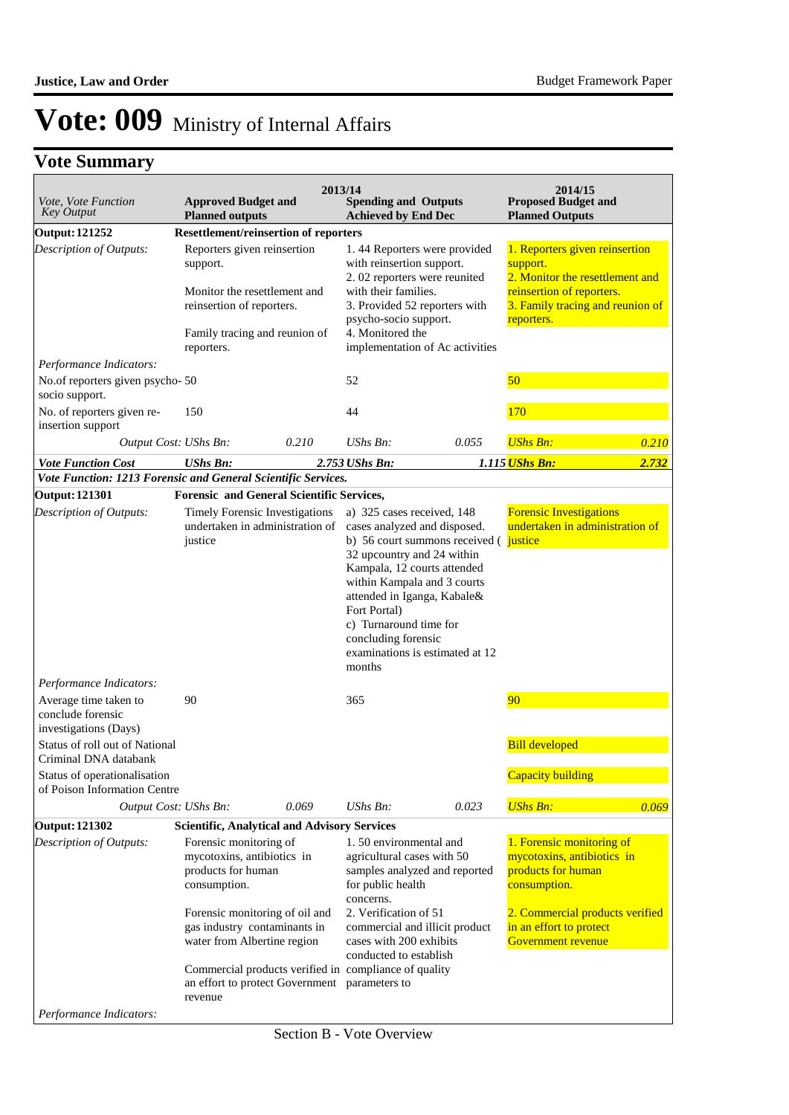## **Vote Summary**

| Vote, Vote Function<br>Key Output                                            | <b>Approved Budget and</b><br><b>Planned outputs</b>                                                                                                                                        | 2013/14                                                                                                | <b>Spending and Outputs</b><br><b>Achieved by End Dec</b>                                                                                                                                                                                                        |                                                                           | 2014/15<br><b>Proposed Budget and</b><br><b>Planned Outputs</b>                                                                                                                   |       |
|------------------------------------------------------------------------------|---------------------------------------------------------------------------------------------------------------------------------------------------------------------------------------------|--------------------------------------------------------------------------------------------------------|------------------------------------------------------------------------------------------------------------------------------------------------------------------------------------------------------------------------------------------------------------------|---------------------------------------------------------------------------|-----------------------------------------------------------------------------------------------------------------------------------------------------------------------------------|-------|
| <b>Output: 121252</b>                                                        | <b>Resettlement/reinsertion of reporters</b>                                                                                                                                                |                                                                                                        |                                                                                                                                                                                                                                                                  |                                                                           |                                                                                                                                                                                   |       |
| Description of Outputs:                                                      | Reporters given reinsertion<br>support.<br>Monitor the resettlement and<br>reinsertion of reporters.<br>Family tracing and reunion of                                                       |                                                                                                        | with reinsertion support.<br>2.02 reporters were reunited<br>with their families.<br>psycho-socio support.<br>4. Monitored the                                                                                                                                   | 1.44 Reporters were provided<br>3. Provided 52 reporters with             | 1. Reporters given reinsertion<br>support.<br>2. Monitor the resettlement and<br>reinsertion of reporters.<br>3. Family tracing and reunion of<br>reporters.                      |       |
|                                                                              | reporters.                                                                                                                                                                                  |                                                                                                        |                                                                                                                                                                                                                                                                  | implementation of Ac activities                                           |                                                                                                                                                                                   |       |
| Performance Indicators:<br>No.of reporters given psycho-50<br>socio support. |                                                                                                                                                                                             |                                                                                                        | 52                                                                                                                                                                                                                                                               |                                                                           | 50                                                                                                                                                                                |       |
| No. of reporters given re-<br>insertion support                              | 150                                                                                                                                                                                         |                                                                                                        | 44                                                                                                                                                                                                                                                               |                                                                           | 170                                                                                                                                                                               |       |
| Output Cost: UShs Bn:                                                        |                                                                                                                                                                                             | 0.210                                                                                                  | $UShs Bn$ :                                                                                                                                                                                                                                                      | 0.055                                                                     | <b>UShs Bn:</b>                                                                                                                                                                   | 0.210 |
| <b>Vote Function Cost</b>                                                    | <b>UShs Bn:</b>                                                                                                                                                                             |                                                                                                        | 2.753 UShs Bn:                                                                                                                                                                                                                                                   |                                                                           | 1.115 UShs Bn:                                                                                                                                                                    | 2.732 |
| Vote Function: 1213 Forensic and General Scientific Services.                |                                                                                                                                                                                             |                                                                                                        |                                                                                                                                                                                                                                                                  |                                                                           |                                                                                                                                                                                   |       |
| <b>Output: 121301</b>                                                        | <b>Forensic and General Scientific Services,</b>                                                                                                                                            |                                                                                                        |                                                                                                                                                                                                                                                                  |                                                                           |                                                                                                                                                                                   |       |
| Description of Outputs:<br>Performance Indicators:                           | Timely Forensic Investigations<br>justice                                                                                                                                                   | undertaken in administration of                                                                        | a) 325 cases received, 148<br>cases analyzed and disposed.<br>32 upcountry and 24 within<br>Kampala, 12 courts attended<br>within Kampala and 3 courts<br>attended in Iganga, Kabale&<br>Fort Portal)<br>c) Turnaround time for<br>concluding forensic<br>months | b) 56 court summons received ( justice<br>examinations is estimated at 12 | <b>Forensic Investigations</b><br>undertaken in administration of                                                                                                                 |       |
| Average time taken to<br>conclude forensic<br>investigations (Days)          | 90                                                                                                                                                                                          |                                                                                                        | 365                                                                                                                                                                                                                                                              |                                                                           | 90                                                                                                                                                                                |       |
| Status of roll out of National                                               |                                                                                                                                                                                             |                                                                                                        |                                                                                                                                                                                                                                                                  |                                                                           | <b>Bill developed</b>                                                                                                                                                             |       |
| Criminal DNA databank                                                        |                                                                                                                                                                                             |                                                                                                        |                                                                                                                                                                                                                                                                  |                                                                           |                                                                                                                                                                                   |       |
| Status of operationalisation<br>of Poison Information Centre                 |                                                                                                                                                                                             |                                                                                                        |                                                                                                                                                                                                                                                                  |                                                                           | Capacity building                                                                                                                                                                 |       |
| Output Cost: UShs Bn:                                                        |                                                                                                                                                                                             | 0.069                                                                                                  | UShs Bn:                                                                                                                                                                                                                                                         | 0.023                                                                     | <b>UShs Bn:</b>                                                                                                                                                                   | 0.069 |
| <b>Output: 121302</b>                                                        | <b>Scientific, Analytical and Advisory Services</b>                                                                                                                                         |                                                                                                        |                                                                                                                                                                                                                                                                  |                                                                           |                                                                                                                                                                                   |       |
| Description of Outputs:                                                      | Forensic monitoring of<br>mycotoxins, antibiotics in<br>products for human<br>consumption.<br>Forensic monitoring of oil and<br>gas industry contaminants in<br>water from Albertine region |                                                                                                        | 1.50 environmental and<br>agricultural cases with 50<br>for public health<br>concerns.<br>2. Verification of 51<br>cases with 200 exhibits<br>conducted to establish                                                                                             | samples analyzed and reported<br>commercial and illicit product           | 1. Forensic monitoring of<br>mycotoxins, antibiotics in<br>products for human<br>consumption.<br>2. Commercial products verified<br>in an effort to protect<br>Government revenue |       |
| Performance Indicators:                                                      | revenue                                                                                                                                                                                     | Commercial products verified in compliance of quality<br>an effort to protect Government parameters to |                                                                                                                                                                                                                                                                  |                                                                           |                                                                                                                                                                                   |       |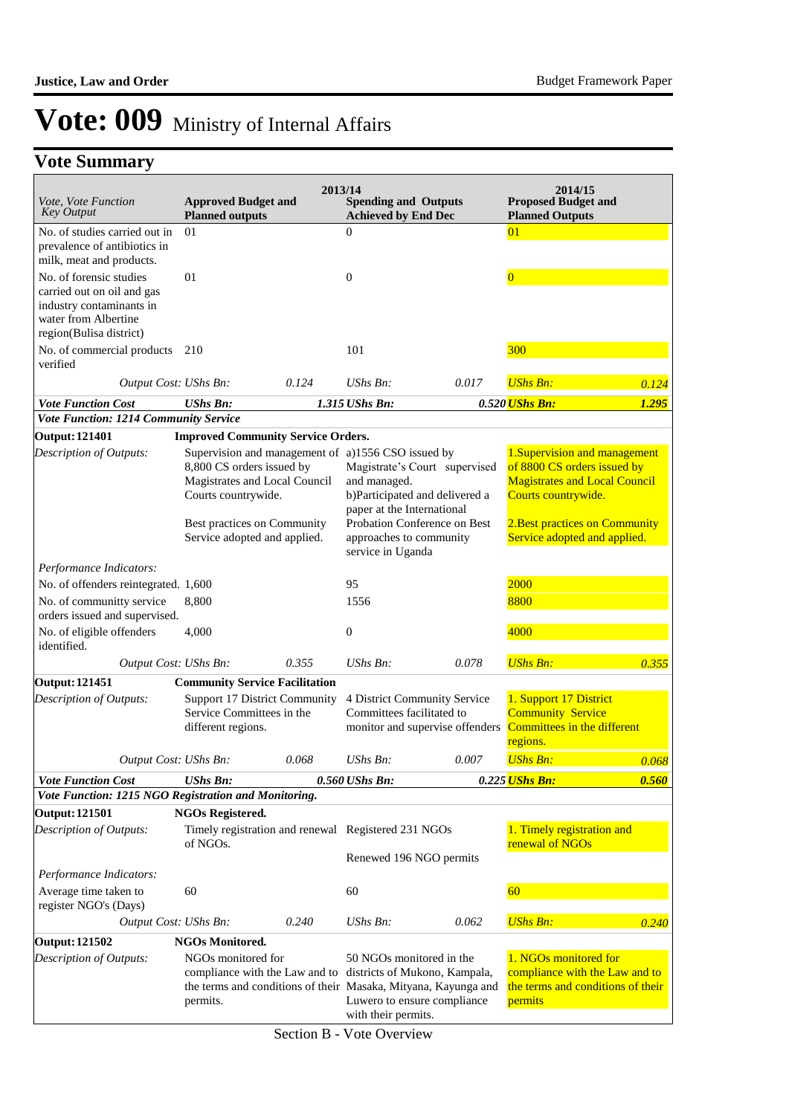### **Vote Summary**

| <i>Vote, Vote Function</i><br>Key Output                                                                  | <b>Approved Budget and</b><br><b>Planned outputs</b>                                                                                                                                                   | 2013/14 | <b>Spending and Outputs</b><br><b>Achieved by End Dec</b>                                                                                                                |       | 2014/15<br><b>Proposed Budget and</b><br><b>Planned Outputs</b>                                                                                                                               |       |
|-----------------------------------------------------------------------------------------------------------|--------------------------------------------------------------------------------------------------------------------------------------------------------------------------------------------------------|---------|--------------------------------------------------------------------------------------------------------------------------------------------------------------------------|-------|-----------------------------------------------------------------------------------------------------------------------------------------------------------------------------------------------|-------|
| No. of studies carried out in                                                                             | 01                                                                                                                                                                                                     |         | $\theta$                                                                                                                                                                 |       | 01                                                                                                                                                                                            |       |
| prevalence of antibiotics in<br>milk, meat and products.                                                  |                                                                                                                                                                                                        |         |                                                                                                                                                                          |       |                                                                                                                                                                                               |       |
| No. of forensic studies                                                                                   | 01                                                                                                                                                                                                     |         | $\boldsymbol{0}$                                                                                                                                                         |       | $\overline{0}$                                                                                                                                                                                |       |
| carried out on oil and gas<br>industry contaminants in<br>water from Albertine<br>region(Bulisa district) |                                                                                                                                                                                                        |         |                                                                                                                                                                          |       |                                                                                                                                                                                               |       |
| No. of commercial products<br>verified                                                                    | 210                                                                                                                                                                                                    |         | 101                                                                                                                                                                      |       | 300                                                                                                                                                                                           |       |
| Output Cost: UShs Bn:                                                                                     |                                                                                                                                                                                                        | 0.124   | UShs Bn:                                                                                                                                                                 | 0.017 | <b>UShs Bn:</b>                                                                                                                                                                               | 0.124 |
| <b>Vote Function Cost</b>                                                                                 | <b>UShs Bn:</b>                                                                                                                                                                                        |         | 1.315 UShs Bn:                                                                                                                                                           |       | 0.520 UShs Bn:                                                                                                                                                                                | 1.295 |
| Vote Function: 1214 Community Service                                                                     |                                                                                                                                                                                                        |         |                                                                                                                                                                          |       |                                                                                                                                                                                               |       |
| <b>Output: 121401</b>                                                                                     | <b>Improved Community Service Orders.</b>                                                                                                                                                              |         |                                                                                                                                                                          |       |                                                                                                                                                                                               |       |
| Description of Outputs:                                                                                   | Supervision and management of a)1556 CSO issued by<br>8,800 CS orders issued by<br>Magistrates and Local Council<br>Courts countrywide.<br>Best practices on Community<br>Service adopted and applied. |         | Magistrate's Court supervised<br>and managed.<br>b)Participated and delivered a<br>paper at the International<br>Probation Conference on Best<br>approaches to community |       | 1. Supervision and management<br>of 8800 CS orders issued by<br><b>Magistrates and Local Council</b><br>Courts countrywide.<br>2. Best practices on Community<br>Service adopted and applied. |       |
|                                                                                                           |                                                                                                                                                                                                        |         | service in Uganda                                                                                                                                                        |       |                                                                                                                                                                                               |       |
| Performance Indicators:<br>No. of offenders reintegrated. 1,600                                           |                                                                                                                                                                                                        |         | 95                                                                                                                                                                       |       | 2000                                                                                                                                                                                          |       |
| No. of communitty service<br>orders issued and supervised.                                                | 8,800                                                                                                                                                                                                  |         | 1556                                                                                                                                                                     |       | 8800                                                                                                                                                                                          |       |
| No. of eligible offenders<br>identified.                                                                  | 4,000                                                                                                                                                                                                  |         | $\boldsymbol{0}$                                                                                                                                                         |       | 4000                                                                                                                                                                                          |       |
| Output Cost: UShs Bn:                                                                                     |                                                                                                                                                                                                        | 0.355   | UShs Bn:                                                                                                                                                                 | 0.078 | <b>UShs Bn:</b>                                                                                                                                                                               | 0.355 |
| <b>Output: 121451</b>                                                                                     | <b>Community Service Facilitation</b>                                                                                                                                                                  |         |                                                                                                                                                                          |       |                                                                                                                                                                                               |       |
| Description of Outputs:                                                                                   | Support 17 District Community<br>Service Committees in the<br>different regions.                                                                                                                       |         | 4 District Community Service<br>Committees facilitated to<br>monitor and supervise offenders                                                                             |       | 1. Support 17 District<br><b>Community Service</b><br>Committees in the different<br>regions.                                                                                                 |       |
| Output Cost: UShs Bn:                                                                                     |                                                                                                                                                                                                        | 0.068   | $UShs Bn$ :                                                                                                                                                              | 0.007 | <b>UShs Bn:</b>                                                                                                                                                                               | 0.068 |
| <b>Vote Function Cost</b>                                                                                 | <b>UShs Bn:</b>                                                                                                                                                                                        |         | 0.560 UShs Bn:                                                                                                                                                           |       | 0.225 UShs Bn:                                                                                                                                                                                | 0.560 |
| Vote Function: 1215 NGO Registration and Monitoring.                                                      |                                                                                                                                                                                                        |         |                                                                                                                                                                          |       |                                                                                                                                                                                               |       |
| <b>Output: 121501</b>                                                                                     | <b>NGOs Registered.</b>                                                                                                                                                                                |         |                                                                                                                                                                          |       |                                                                                                                                                                                               |       |
| Description of Outputs:                                                                                   | Timely registration and renewal Registered 231 NGOs<br>of NGOs.                                                                                                                                        |         |                                                                                                                                                                          |       | 1. Timely registration and<br>renewal of NGOs                                                                                                                                                 |       |
|                                                                                                           |                                                                                                                                                                                                        |         | Renewed 196 NGO permits                                                                                                                                                  |       |                                                                                                                                                                                               |       |
| Performance Indicators:                                                                                   |                                                                                                                                                                                                        |         |                                                                                                                                                                          |       |                                                                                                                                                                                               |       |
| Average time taken to<br>register NGO's (Days)                                                            | 60                                                                                                                                                                                                     |         | 60                                                                                                                                                                       |       | 60                                                                                                                                                                                            |       |
| Output Cost: UShs Bn:                                                                                     |                                                                                                                                                                                                        | 0.240   | UShs Bn:                                                                                                                                                                 | 0.062 | <b>UShs Bn:</b>                                                                                                                                                                               | 0.240 |
| <b>Output: 121502</b>                                                                                     | <b>NGOs Monitored.</b>                                                                                                                                                                                 |         |                                                                                                                                                                          |       |                                                                                                                                                                                               |       |
| Description of Outputs:                                                                                   | NGOs monitored for<br>compliance with the Law and to districts of Mukono, Kampala,<br>the terms and conditions of their Masaka, Mityana, Kayunga and<br>permits.                                       |         | 50 NGOs monitored in the<br>Luwero to ensure compliance<br>with their permits.                                                                                           |       | 1. NGOs monitored for<br>compliance with the Law and to<br>the terms and conditions of their<br>permits                                                                                       |       |

Section B - Vote Overview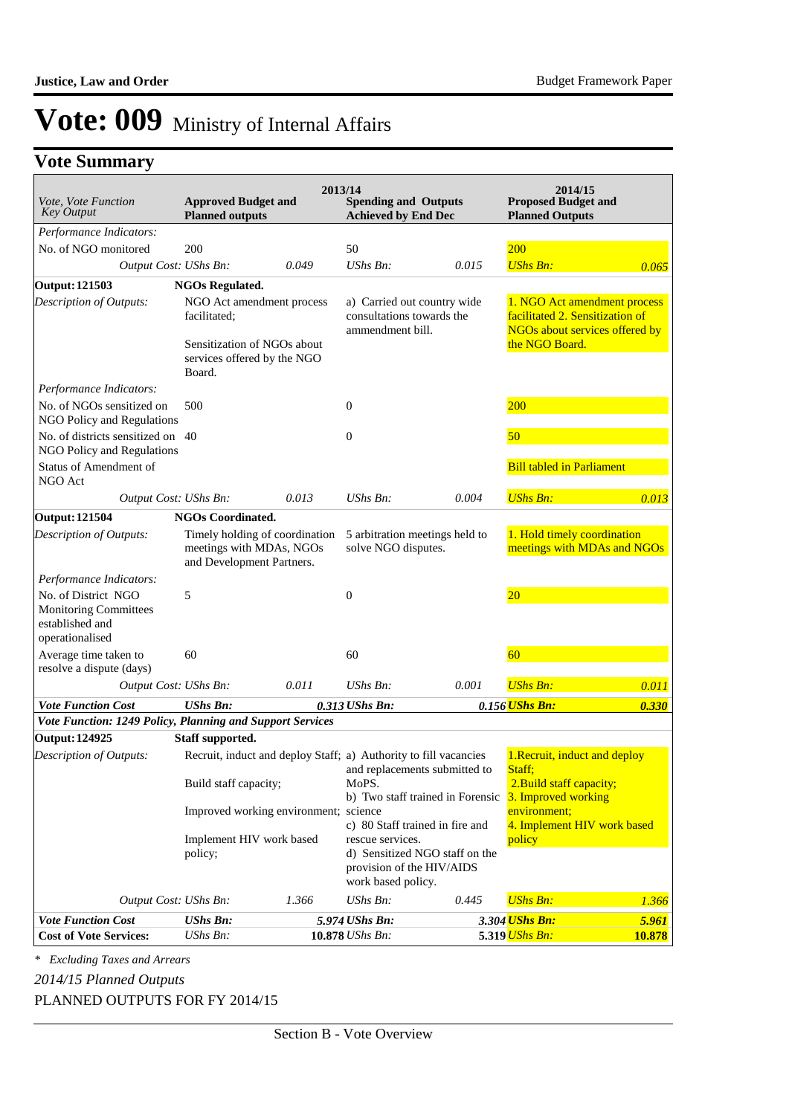### **Vote Summary**

| Vote, Vote Function<br><b>Key Output</b>                                                  | <b>Approved Budget and</b><br><b>Planned outputs</b>                                                              | 2013/14 | <b>Spending and Outputs</b><br><b>Achieved by End Dec</b>                    |                                                                   | 2014/15<br><b>Proposed Budget and</b><br><b>Planned Outputs</b>                                                     |        |
|-------------------------------------------------------------------------------------------|-------------------------------------------------------------------------------------------------------------------|---------|------------------------------------------------------------------------------|-------------------------------------------------------------------|---------------------------------------------------------------------------------------------------------------------|--------|
| Performance Indicators:                                                                   |                                                                                                                   |         |                                                                              |                                                                   |                                                                                                                     |        |
| No. of NGO monitored                                                                      | 200                                                                                                               |         | 50                                                                           |                                                                   | 200                                                                                                                 |        |
| Output Cost: UShs Bn:                                                                     |                                                                                                                   | 0.049   | UShs Bn:                                                                     | 0.015                                                             | <b>UShs Bn:</b>                                                                                                     | 0.065  |
| <b>Output: 121503</b>                                                                     | <b>NGOs Regulated.</b>                                                                                            |         |                                                                              |                                                                   |                                                                                                                     |        |
| Description of Outputs:                                                                   | NGO Act amendment process<br>facilitated;<br>Sensitization of NGOs about<br>services offered by the NGO<br>Board. |         | a) Carried out country wide<br>consultations towards the<br>ammendment bill. |                                                                   | 1. NGO Act amendment process<br>facilitated 2. Sensitization of<br>NGOs about services offered by<br>the NGO Board. |        |
| Performance Indicators:                                                                   |                                                                                                                   |         |                                                                              |                                                                   |                                                                                                                     |        |
| No. of NGOs sensitized on<br>NGO Policy and Regulations                                   | 500                                                                                                               |         | 0                                                                            |                                                                   | 200                                                                                                                 |        |
| No. of districts sensitized on 40<br>NGO Policy and Regulations                           |                                                                                                                   |         | 0                                                                            |                                                                   | 50                                                                                                                  |        |
| <b>Status of Amendment of</b><br>NGO Act                                                  |                                                                                                                   |         |                                                                              |                                                                   | <b>Bill tabled in Parliament</b>                                                                                    |        |
| Output Cost: UShs Bn:                                                                     |                                                                                                                   | 0.013   | UShs Bn:                                                                     | 0.004                                                             | <b>UShs Bn:</b>                                                                                                     | 0.013  |
| <b>Output: 121504</b>                                                                     | <b>NGOs Coordinated.</b>                                                                                          |         |                                                                              |                                                                   |                                                                                                                     |        |
| Description of Outputs:                                                                   | Timely holding of coordination<br>meetings with MDAs, NGOs<br>and Development Partners.                           |         | solve NGO disputes.                                                          | 5 arbitration meetings held to                                    | 1. Hold timely coordination<br>meetings with MDAs and NGOs                                                          |        |
| Performance Indicators:                                                                   |                                                                                                                   |         |                                                                              |                                                                   |                                                                                                                     |        |
| No. of District NGO<br><b>Monitoring Committees</b><br>established and<br>operationalised | 5                                                                                                                 |         | 0                                                                            |                                                                   | 20 <sup>°</sup>                                                                                                     |        |
| Average time taken to<br>resolve a dispute (days)                                         | 60                                                                                                                |         | 60                                                                           |                                                                   | 60                                                                                                                  |        |
| Output Cost: UShs Bn:                                                                     |                                                                                                                   | 0.011   | UShs Bn:                                                                     | 0.001                                                             | <b>UShs Bn:</b>                                                                                                     | 0.011  |
| <b>Vote Function Cost</b>                                                                 | <b>UShs Bn:</b>                                                                                                   |         | 0.313 UShs Bn:                                                               |                                                                   | 0.156 UShs Bn:                                                                                                      | 0.330  |
| Vote Function: 1249 Policy, Planning and Support Services                                 |                                                                                                                   |         |                                                                              |                                                                   |                                                                                                                     |        |
| <b>Output: 124925</b>                                                                     | Staff supported.                                                                                                  |         |                                                                              |                                                                   |                                                                                                                     |        |
| Description of Outputs:                                                                   | Recruit, induct and deploy Staff; a) Authority to fill vacancies<br>Build staff capacity;                         |         | MoPS.                                                                        | and replacements submitted to                                     | 1. Recruit, induct and deploy<br>Staff:<br>2. Build staff capacity;                                                 |        |
|                                                                                           | Improved working environment; science                                                                             |         |                                                                              | b) Two staff trained in Forensic                                  | 3. Improved working<br>environment;                                                                                 |        |
|                                                                                           | Implement HIV work based<br>policy;                                                                               |         | rescue services.<br>provision of the HIV/AIDS<br>work based policy.          | c) 80 Staff trained in fire and<br>d) Sensitized NGO staff on the | 4. Implement HIV work based<br>policy                                                                               |        |
| Output Cost: UShs Bn:                                                                     |                                                                                                                   | 1.366   | UShs Bn:                                                                     | 0.445                                                             | <b>UShs Bn:</b>                                                                                                     | 1.366  |
| <b>Vote Function Cost</b>                                                                 | <b>UShs Bn:</b>                                                                                                   |         | 5.974 UShs Bn:                                                               |                                                                   | 3.304 <mark>UShs Bn:</mark>                                                                                         | 5.961  |
| <b>Cost of Vote Services:</b>                                                             | UShs Bn:                                                                                                          |         | 10.878 UShs Bn:                                                              |                                                                   | 5.319 UShs Bn:                                                                                                      | 10.878 |

*\* Excluding Taxes and Arrears*

*2014/15 Planned Outputs*

PLANNED OUTPUTS FOR FY 2014/15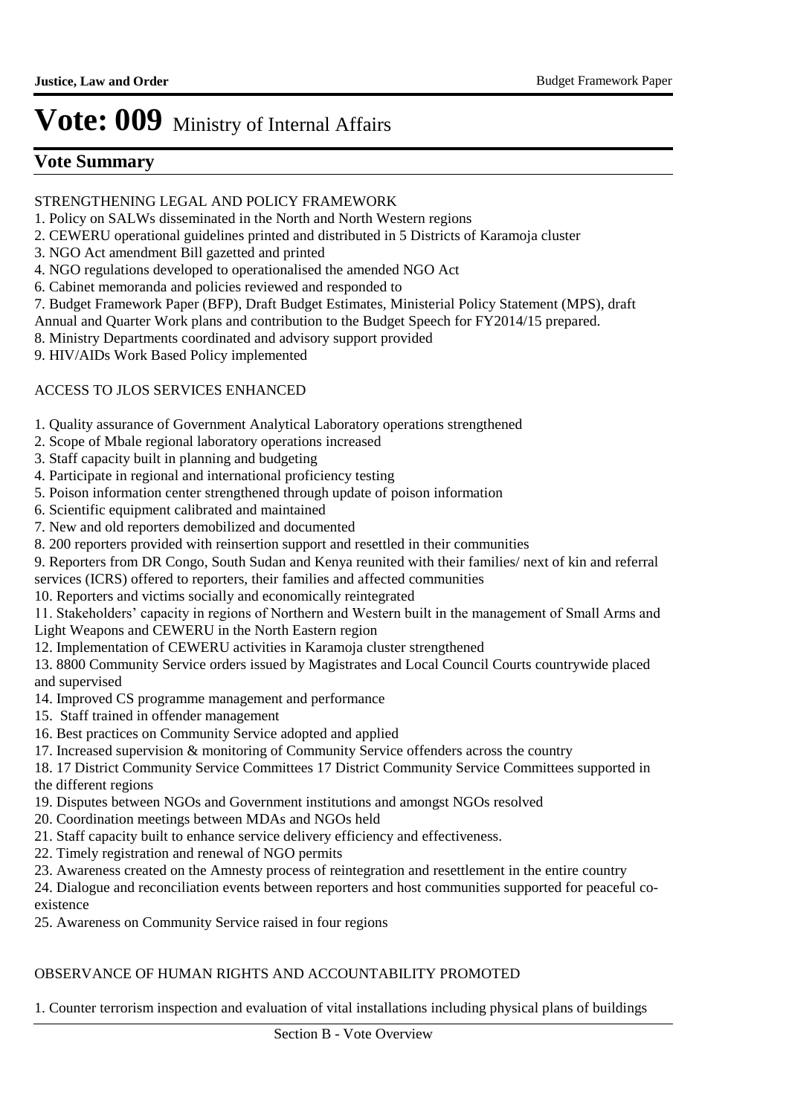### **Vote Summary**

### STRENGTHENING LEGAL AND POLICY FRAMEWORK

- 1. Policy on SALWs disseminated in the North and North Western regions
- 2. CEWERU operational guidelines printed and distributed in 5 Districts of Karamoja cluster
- 3. NGO Act amendment Bill gazetted and printed
- 4. NGO regulations developed to operationalised the amended NGO Act
- 6. Cabinet memoranda and policies reviewed and responded to
- 7. Budget Framework Paper (BFP), Draft Budget Estimates, Ministerial Policy Statement (MPS), draft
- Annual and Quarter Work plans and contribution to the Budget Speech for FY2014/15 prepared.
- 8. Ministry Departments coordinated and advisory support provided
- 9. HIV/AIDs Work Based Policy implemented

### ACCESS TO JLOS SERVICES ENHANCED

- 1. Quality assurance of Government Analytical Laboratory operations strengthened
- 2. Scope of Mbale regional laboratory operations increased
- 3. Staff capacity built in planning and budgeting
- 4. Participate in regional and international proficiency testing
- 5. Poison information center strengthened through update of poison information
- 6. Scientific equipment calibrated and maintained
- 7. New and old reporters demobilized and documented
- 8. 200 reporters provided with reinsertion support and resettled in their communities
- 9. Reporters from DR Congo, South Sudan and Kenya reunited with their families/ next of kin and referral
- services (ICRS) offered to reporters, their families and affected communities
- 10. Reporters and victims socially and economically reintegrated
- 11. Stakeholders' capacity in regions of Northern and Western built in the management of Small Arms and
- Light Weapons and CEWERU in the North Eastern region
- 12. Implementation of CEWERU activities in Karamoja cluster strengthened

13. 8800 Community Service orders issued by Magistrates and Local Council Courts countrywide placed and supervised

- 14. Improved CS programme management and performance
- 15. Staff trained in offender management
- 16. Best practices on Community Service adopted and applied
- 17. Increased supervision & monitoring of Community Service offenders across the country
- 18. 17 District Community Service Committees 17 District Community Service Committees supported in the different regions
- 19. Disputes between NGOs and Government institutions and amongst NGOs resolved
- 20. Coordination meetings between MDAs and NGOs held
- 21. Staff capacity built to enhance service delivery efficiency and effectiveness.
- 22. Timely registration and renewal of NGO permits
- 23. Awareness created on the Amnesty process of reintegration and resettlement in the entire country
- 24. Dialogue and reconciliation events between reporters and host communities supported for peaceful coexistence
- 25. Awareness on Community Service raised in four regions

### OBSERVANCE OF HUMAN RIGHTS AND ACCOUNTABILITY PROMOTED

1. Counter terrorism inspection and evaluation of vital installations including physical plans of buildings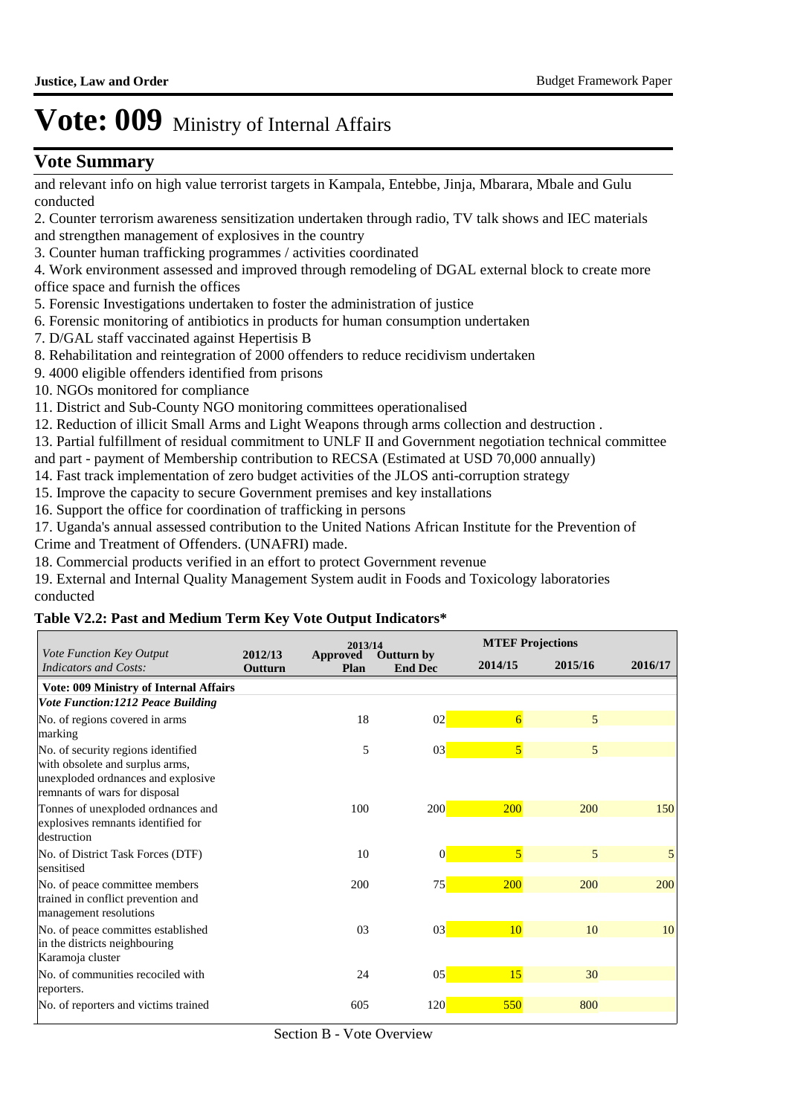### **Vote Summary**

and relevant info on high value terrorist targets in Kampala, Entebbe, Jinja, Mbarara, Mbale and Gulu conducted

2. Counter terrorism awareness sensitization undertaken through radio, TV talk shows and IEC materials and strengthen management of explosives in the country

3. Counter human trafficking programmes / activities coordinated

4. Work environment assessed and improved through remodeling of DGAL external block to create more office space and furnish the offices

5. Forensic Investigations undertaken to foster the administration of justice

- 6. Forensic monitoring of antibiotics in products for human consumption undertaken
- 7. D/GAL staff vaccinated against Hepertisis B
- 8. Rehabilitation and reintegration of 2000 offenders to reduce recidivism undertaken
- 9. 4000 eligible offenders identified from prisons
- 10. NGOs monitored for compliance
- 11. District and Sub-County NGO monitoring committees operationalised
- 12. Reduction of illicit Small Arms and Light Weapons through arms collection and destruction .
- 13. Partial fulfillment of residual commitment to UNLF II and Government negotiation technical committee
- and part payment of Membership contribution to RECSA (Estimated at USD 70,000 annually)
- 14. Fast track implementation of zero budget activities of the JLOS anti-corruption strategy
- 15. Improve the capacity to secure Government premises and key installations
- 16. Support the office for coordination of trafficking in persons
- 17. Uganda's annual assessed contribution to the United Nations African Institute for the Prevention of Crime and Treatment of Offenders. (UNAFRI) made.
- 18. Commercial products verified in an effort to protect Government revenue

19. External and Internal Quality Management System audit in Foods and Toxicology laboratories conducted

#### **Table V2.2: Past and Medium Term Key Vote Output Indicators\***

|                                                                                                                                              |                    | 2013/14          | <b>MTEF Projections</b>             |                         |         |         |
|----------------------------------------------------------------------------------------------------------------------------------------------|--------------------|------------------|-------------------------------------|-------------------------|---------|---------|
| Vote Function Key Output<br><b>Indicators and Costs:</b>                                                                                     | 2012/13<br>Outturn | Approved<br>Plan | <b>Outturn by</b><br><b>End Dec</b> | 2014/15                 | 2015/16 | 2016/17 |
| Vote: 009 Ministry of Internal Affairs                                                                                                       |                    |                  |                                     |                         |         |         |
| <b>Vote Function:1212 Peace Building</b>                                                                                                     |                    |                  |                                     |                         |         |         |
| No. of regions covered in arms<br>marking                                                                                                    |                    | 18               | 02                                  | $\overline{6}$          | 5       |         |
| No. of security regions identified<br>with obsolete and surplus arms,<br>unexploded ordnances and explosive<br>remnants of wars for disposal |                    | 5                | 03                                  | $\overline{\mathbf{5}}$ | 5       |         |
| Tonnes of unexploded ordnances and<br>explosives remnants identified for<br>destruction                                                      |                    | 100              | 200                                 | 200                     | 200     | 150     |
| No. of District Task Forces (DTF)<br>sensitised                                                                                              |                    | 10               | $\overline{0}$                      | $\overline{5}$          | 5       | 5       |
| No. of peace committee members<br>trained in conflict prevention and<br>management resolutions                                               |                    | 200              | 75                                  | 200                     | 200     | 200     |
| No. of peace committes established<br>in the districts neighbouring<br>Karamoja cluster                                                      |                    | 03               | 03                                  | <b>10</b>               | 10      | 10      |
| No. of communities recociled with<br>reporters.                                                                                              |                    | 24               | 05                                  | 15                      | 30      |         |
| No. of reporters and victims trained                                                                                                         |                    | 605              | 120                                 | 550                     | 800     |         |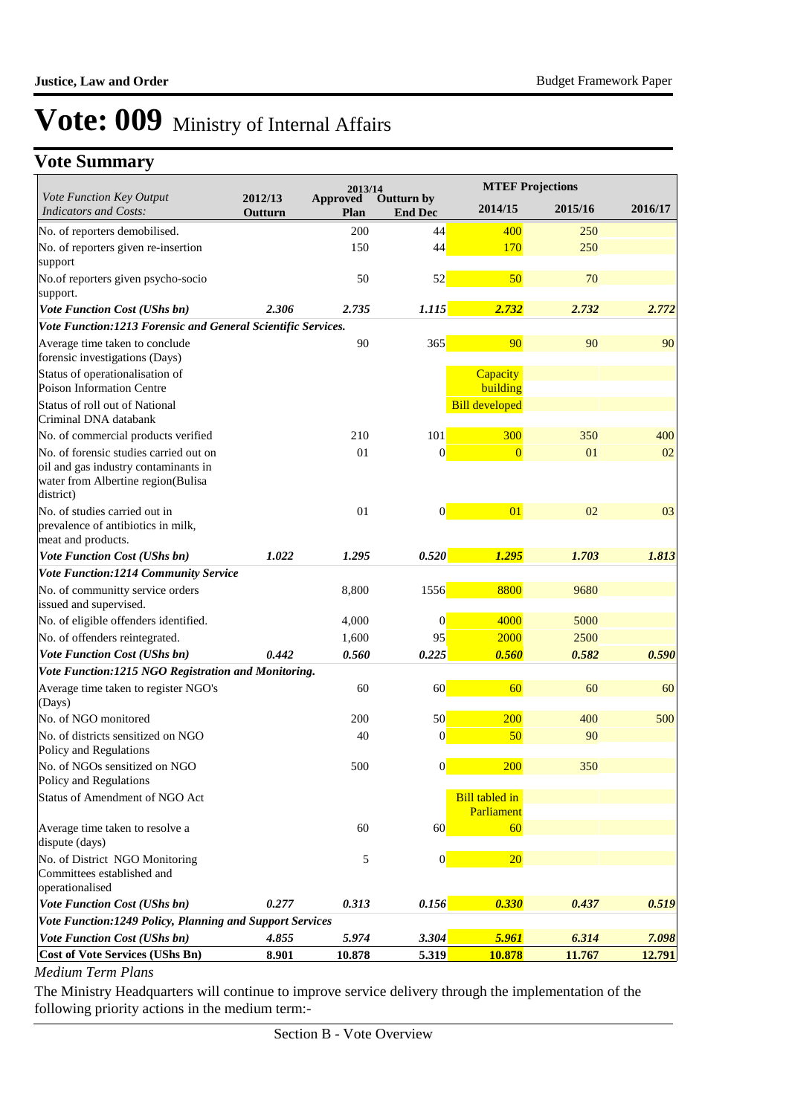## **Vote Summary**

|                                                                                                                                   |                    | 2013/14                        |                              |                                     | <b>MTEF Projections</b> |         |
|-----------------------------------------------------------------------------------------------------------------------------------|--------------------|--------------------------------|------------------------------|-------------------------------------|-------------------------|---------|
| Vote Function Key Output<br><b>Indicators and Costs:</b>                                                                          | 2012/13<br>Outturn | <b>Approved</b><br><b>Plan</b> | Outturn by<br><b>End Dec</b> | 2014/15                             | 2015/16                 | 2016/17 |
| No. of reporters demobilised.                                                                                                     |                    | 200                            | 44                           | 400                                 | 250                     |         |
| No. of reporters given re-insertion<br>support                                                                                    |                    | 150                            | 44                           | 170                                 | 250                     |         |
| No.of reporters given psycho-socio<br>support.                                                                                    |                    | 50                             | 52                           | 50                                  | 70                      |         |
| <b>Vote Function Cost (UShs bn)</b>                                                                                               | 2.306              | 2.735                          | 1.115                        | 2.732                               | 2.732                   | 2.772   |
| Vote Function:1213 Forensic and General Scientific Services.                                                                      |                    |                                |                              |                                     |                         |         |
| Average time taken to conclude<br>forensic investigations (Days)                                                                  |                    | 90                             | 365                          | 90                                  | 90                      | 90      |
| Status of operationalisation of<br>Poison Information Centre                                                                      |                    |                                |                              | Capacity<br>building                |                         |         |
| Status of roll out of National<br>Criminal DNA databank                                                                           |                    |                                |                              | <b>Bill developed</b>               |                         |         |
| No. of commercial products verified                                                                                               |                    | 210                            | 101                          | 300                                 | 350                     | 400     |
| No. of forensic studies carried out on<br>oil and gas industry contaminants in<br>water from Albertine region(Bulisa<br>district) |                    | 01                             | $\vert 0 \vert$              | $\overline{0}$                      | 01                      | 02      |
| No. of studies carried out in<br>prevalence of antibiotics in milk,<br>meat and products.                                         |                    | 01                             | $\vert 0 \vert$              | 01                                  | 02                      | 03      |
| Vote Function Cost (UShs bn)                                                                                                      | 1.022              | 1.295                          | 0.520                        | 1.295                               | 1.703                   | 1.813   |
| Vote Function:1214 Community Service                                                                                              |                    |                                |                              |                                     |                         |         |
| No. of communitty service orders<br>issued and supervised.                                                                        |                    | 8,800                          | 1556                         | 8800                                | 9680                    |         |
| No. of eligible offenders identified.                                                                                             |                    | 4,000                          | $\boldsymbol{0}$             | 4000                                | 5000                    |         |
| No. of offenders reintegrated.                                                                                                    |                    | 1,600                          | 95                           | 2000                                | 2500                    |         |
| Vote Function Cost (UShs bn)                                                                                                      | 0.442              | 0.560                          | 0.225                        | 0.560                               | 0.582                   | 0.590   |
| Vote Function:1215 NGO Registration and Monitoring.                                                                               |                    |                                |                              |                                     |                         |         |
| Average time taken to register NGO's<br>(Days)                                                                                    |                    | 60                             | 60                           | 60                                  | 60                      | 60      |
| No. of NGO monitored                                                                                                              |                    | 200                            | 50                           | 200                                 | 400                     | 500     |
| No. of districts sensitized on NGO<br>Policy and Regulations                                                                      |                    | 40                             | $\mathbf{0}$                 | 50                                  | 90                      |         |
| No. of NGOs sensitized on NGO<br>Policy and Regulations                                                                           |                    | 500                            | $\Omega$                     | <b>200</b>                          | 350                     |         |
| Status of Amendment of NGO Act                                                                                                    |                    |                                |                              | <b>Bill tabled in</b><br>Parliament |                         |         |
| Average time taken to resolve a<br>dispute (days)                                                                                 |                    | 60                             | 60                           | 60                                  |                         |         |
| No. of District NGO Monitoring<br>Committees established and<br>operationalised                                                   |                    | 5                              | $\vert 0 \vert$              | 20                                  |                         |         |
| Vote Function Cost (UShs bn)                                                                                                      | 0.277              | 0.313                          | 0.156                        | 0.330                               | 0.437                   | 0.519   |
| Vote Function:1249 Policy, Planning and Support Services                                                                          |                    |                                |                              |                                     |                         |         |
| <b>Vote Function Cost (UShs bn)</b>                                                                                               | 4.855              | 5.974                          | 3.304                        | 5.961                               | 6.314                   | 7.098   |
| <b>Cost of Vote Services (UShs Bn)</b>                                                                                            | 8.901              | 10.878                         | <b>5.319</b>                 | 10.878                              | 11.767                  | 12.791  |

#### *Medium Term Plans*

The Ministry Headquarters will continue to improve service delivery through the implementation of the following priority actions in the medium term:-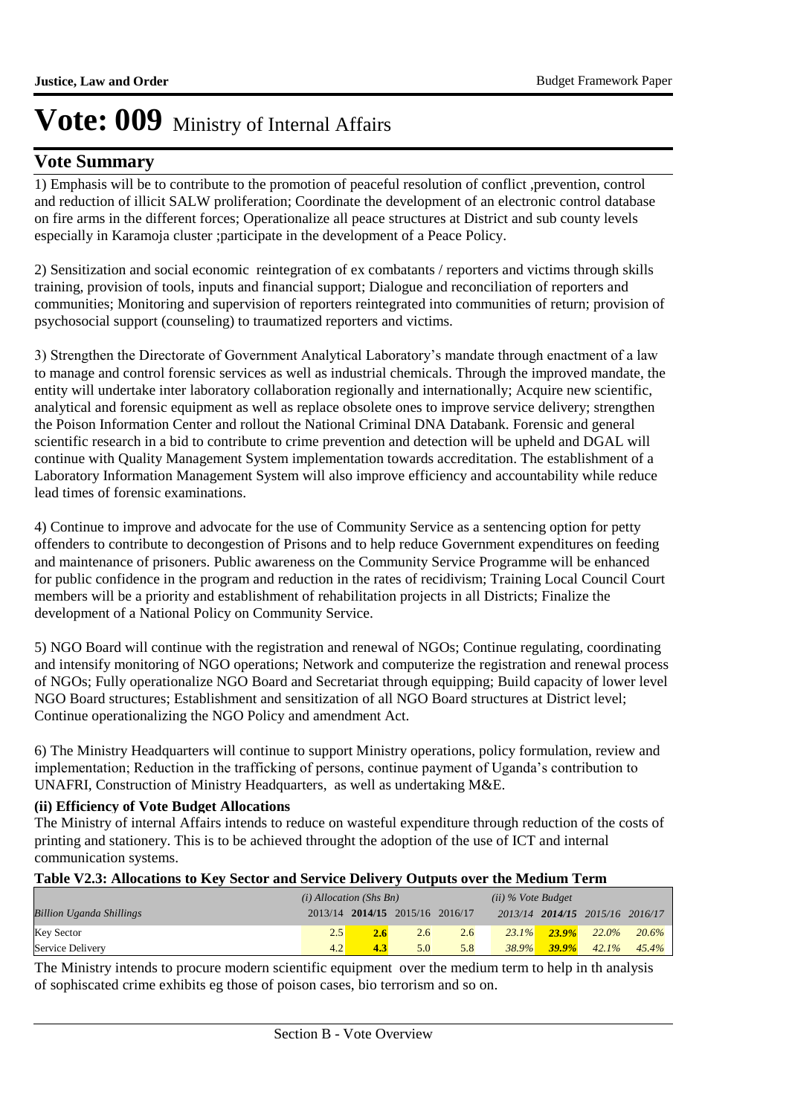### **Vote Summary**

1) Emphasis will be to contribute to the promotion of peaceful resolution of conflict ,prevention, control and reduction of illicit SALW proliferation; Coordinate the development of an electronic control database on fire arms in the different forces; Operationalize all peace structures at District and sub county levels especially in Karamoja cluster ;participate in the development of a Peace Policy.

2) Sensitization and social economic reintegration of ex combatants / reporters and victims through skills training, provision of tools, inputs and financial support; Dialogue and reconciliation of reporters and communities; Monitoring and supervision of reporters reintegrated into communities of return; provision of psychosocial support (counseling) to traumatized reporters and victims.

3) Strengthen the Directorate of Government Analytical Laboratory's mandate through enactment of a law to manage and control forensic services as well as industrial chemicals. Through the improved mandate, the entity will undertake inter laboratory collaboration regionally and internationally; Acquire new scientific, analytical and forensic equipment as well as replace obsolete ones to improve service delivery; strengthen the Poison Information Center and rollout the National Criminal DNA Databank. Forensic and general scientific research in a bid to contribute to crime prevention and detection will be upheld and DGAL will continue with Quality Management System implementation towards accreditation. The establishment of a Laboratory Information Management System will also improve efficiency and accountability while reduce lead times of forensic examinations.

4) Continue to improve and advocate for the use of Community Service as a sentencing option for petty offenders to contribute to decongestion of Prisons and to help reduce Government expenditures on feeding and maintenance of prisoners. Public awareness on the Community Service Programme will be enhanced for public confidence in the program and reduction in the rates of recidivism; Training Local Council Court members will be a priority and establishment of rehabilitation projects in all Districts; Finalize the development of a National Policy on Community Service.

5) NGO Board will continue with the registration and renewal of NGOs; Continue regulating, coordinating and intensify monitoring of NGO operations; Network and computerize the registration and renewal process of NGOs; Fully operationalize NGO Board and Secretariat through equipping; Build capacity of lower level NGO Board structures; Establishment and sensitization of all NGO Board structures at District level; Continue operationalizing the NGO Policy and amendment Act.

6) The Ministry Headquarters will continue to support Ministry operations, policy formulation, review and implementation; Reduction in the trafficking of persons, continue payment of Uganda's contribution to UNAFRI, Construction of Ministry Headquarters, as well as undertaking M&E.

### **(ii) Efficiency of Vote Budget Allocations**

The Ministry of internal Affairs intends to reduce on wasteful expenditure through reduction of the costs of printing and stationery. This is to be achieved throught the adoption of the use of ICT and internal communication systems.

### **Table V2.3: Allocations to Key Sector and Service Delivery Outputs over the Medium Term**

|                                 | $(i)$ Allocation (Shs Bn) |                                 |     |     | $(ii)$ % Vote Budget |          |                                 |          |
|---------------------------------|---------------------------|---------------------------------|-----|-----|----------------------|----------|---------------------------------|----------|
| <b>Billion Uganda Shillings</b> |                           | 2013/14 2014/15 2015/16 2016/17 |     |     |                      |          | 2013/14 2014/15 2015/16 2016/17 |          |
| <b>Key Sector</b>               | 2.5                       |                                 | 2.6 | 2.6 | $23.1\%$             | $23.9\%$ | 22.0%                           | $20.6\%$ |
| Service Delivery                | 4.2                       | 4.3                             | 5.0 | 5.8 | 38.9%                | $39.9\%$ | 42.1%                           | $45.4\%$ |

The Ministry intends to procure modern scientific equipment over the medium term to help in th analysis of sophiscated crime exhibits eg those of poison cases, bio terrorism and so on.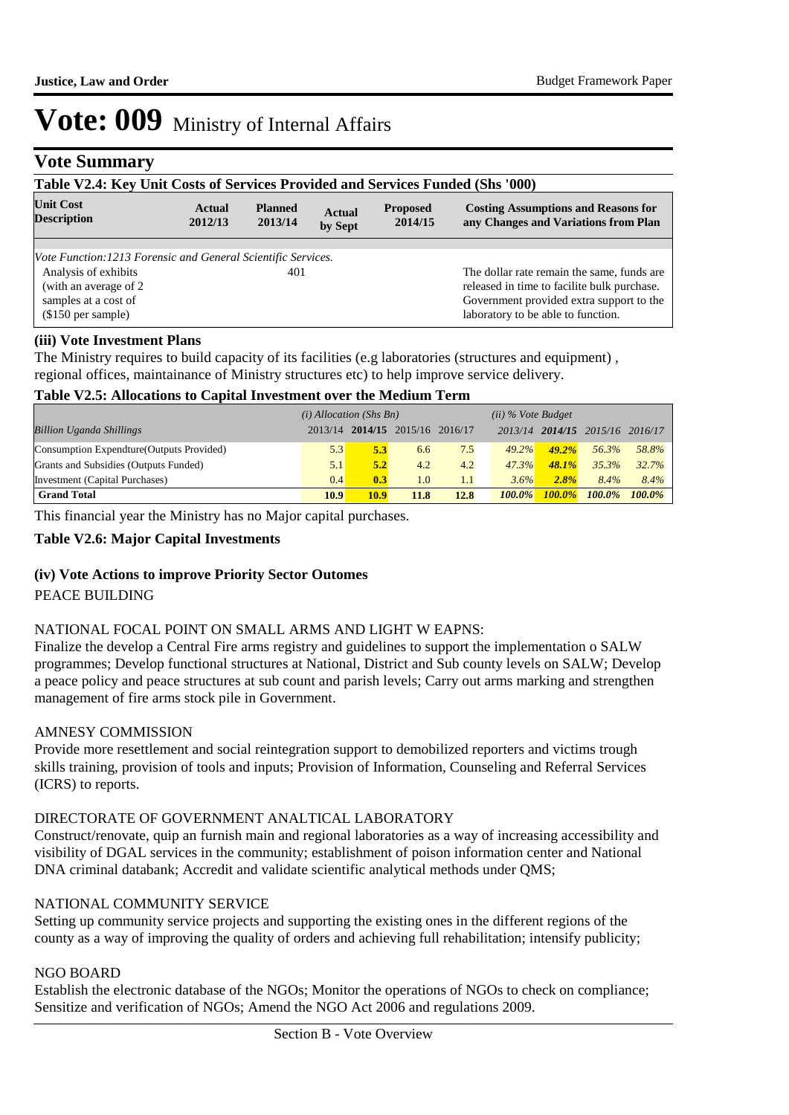### **Vote Summary**

| Table V2.4: Key Unit Costs of Services Provided and Services Funded (Shs '000) |                   |                           |                          |                            |                                                                                    |  |  |  |  |
|--------------------------------------------------------------------------------|-------------------|---------------------------|--------------------------|----------------------------|------------------------------------------------------------------------------------|--|--|--|--|
| <b>Unit Cost</b><br><b>Description</b>                                         | Actual<br>2012/13 | <b>Planned</b><br>2013/14 | <b>Actual</b><br>by Sept | <b>Proposed</b><br>2014/15 | <b>Costing Assumptions and Reasons for</b><br>any Changes and Variations from Plan |  |  |  |  |
|                                                                                |                   |                           |                          |                            |                                                                                    |  |  |  |  |
| Vote Function: 1213 Forensic and General Scientific Services.                  |                   |                           |                          |                            |                                                                                    |  |  |  |  |
| Analysis of exhibits                                                           |                   | 401                       |                          |                            | The dollar rate remain the same, funds are                                         |  |  |  |  |
| (with an average of 2)                                                         |                   |                           |                          |                            | released in time to facilite bulk purchase.                                        |  |  |  |  |
| samples at a cost of                                                           |                   |                           |                          |                            | Government provided extra support to the                                           |  |  |  |  |
| $$150$ per sample)                                                             |                   |                           |                          |                            | laboratory to be able to function.                                                 |  |  |  |  |

### **(iii) Vote Investment Plans**

The Ministry requires to build capacity of its facilities (e.g laboratories (structures and equipment) , regional offices, maintainance of Ministry structures etc) to help improve service delivery.

#### **Table V2.5: Allocations to Capital Investment over the Medium Term**

| $(i)$ Allocation (Shs Bn)<br>$(ii)$ % Vote Budget |         |      |                               |      |           |           |                               |           |
|---------------------------------------------------|---------|------|-------------------------------|------|-----------|-----------|-------------------------------|-----------|
| <b>Billion Uganda Shillings</b>                   | 2013/14 |      | $2014/15$ $2015/16$ $2016/17$ |      | 2013/14   |           | $2014/15$ $2015/16$ $2016/17$ |           |
| Consumption Expendture (Outputs Provided)         | 5.3     | 5.3  | 6.6                           | 7.5  | $49.2\%$  | 49.2%     | 56.3%                         | 58.8%     |
| Grants and Subsidies (Outputs Funded)             | 5.1     | 5.2  | 4.2                           | 4.2  | 47.3%     | 48.1%     | 35.3%                         | 32.7%     |
| Investment (Capital Purchases)                    | 0.4     | 0.3  | 1.0                           | 1.1  | 3.6%      | $2.8\%$   | 8.4%                          | 8.4%      |
| <b>Grand Total</b>                                | 10.9    | 10.9 | 11.8                          | 12.8 | $100.0\%$ | $100.0\%$ | $100.0\%$                     | $100.0\%$ |

This financial year the Ministry has no Major capital purchases.

### **Table V2.6: Major Capital Investments**

#### **(iv) Vote Actions to improve Priority Sector Outomes**

PEACE BUILDING

#### NATIONAL FOCAL POINT ON SMALL ARMS AND LIGHT W EAPNS:

Finalize the develop a Central Fire arms registry and guidelines to support the implementation o SALW programmes; Develop functional structures at National, District and Sub county levels on SALW; Develop a peace policy and peace structures at sub count and parish levels; Carry out arms marking and strengthen management of fire arms stock pile in Government.

#### AMNESY COMMISSION

Provide more resettlement and social reintegration support to demobilized reporters and victims trough skills training, provision of tools and inputs; Provision of Information, Counseling and Referral Services (ICRS) to reports.

#### DIRECTORATE OF GOVERNMENT ANALTICAL LABORATORY

Construct/renovate, quip an furnish main and regional laboratories as a way of increasing accessibility and visibility of DGAL services in the community; establishment of poison information center and National DNA criminal databank; Accredit and validate scientific analytical methods under QMS;

#### NATIONAL COMMUNITY SERVICE

Setting up community service projects and supporting the existing ones in the different regions of the county as a way of improving the quality of orders and achieving full rehabilitation; intensify publicity;

#### NGO BOARD

Establish the electronic database of the NGOs; Monitor the operations of NGOs to check on compliance; Sensitize and verification of NGOs; Amend the NGO Act 2006 and regulations 2009.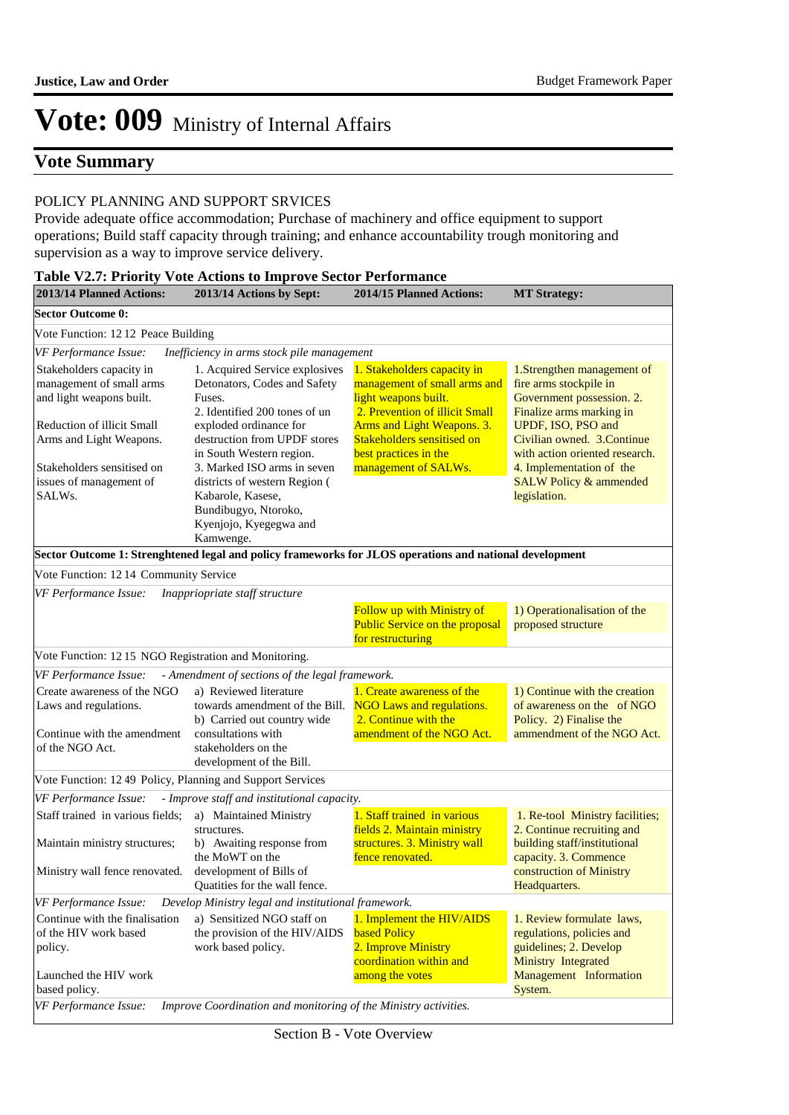### **Vote Summary**

#### POLICY PLANNING AND SUPPORT SRVICES

Provide adequate office accommodation; Purchase of machinery and office equipment to support operations; Build staff capacity through training; and enhance accountability trough monitoring and supervision as a way to improve service delivery.

| 2013/14 Planned Actions:                                                                                                                                                                                     | 2013/14 Actions by Sept:                                                                                                                                                                                                                                                                                                                            | <b>Table V2.7: Priority Vote Actions to Improve Sector Performance</b><br>2014/15 Planned Actions:                                                                                                                                 | <b>MT Strategy:</b>                                                                                                                                                                                                                                                                   |
|--------------------------------------------------------------------------------------------------------------------------------------------------------------------------------------------------------------|-----------------------------------------------------------------------------------------------------------------------------------------------------------------------------------------------------------------------------------------------------------------------------------------------------------------------------------------------------|------------------------------------------------------------------------------------------------------------------------------------------------------------------------------------------------------------------------------------|---------------------------------------------------------------------------------------------------------------------------------------------------------------------------------------------------------------------------------------------------------------------------------------|
| <b>Sector Outcome 0:</b>                                                                                                                                                                                     |                                                                                                                                                                                                                                                                                                                                                     |                                                                                                                                                                                                                                    |                                                                                                                                                                                                                                                                                       |
| Vote Function: 12 12 Peace Building                                                                                                                                                                          |                                                                                                                                                                                                                                                                                                                                                     |                                                                                                                                                                                                                                    |                                                                                                                                                                                                                                                                                       |
| VF Performance Issue:                                                                                                                                                                                        | Inefficiency in arms stock pile management                                                                                                                                                                                                                                                                                                          |                                                                                                                                                                                                                                    |                                                                                                                                                                                                                                                                                       |
| Stakeholders capacity in<br>management of small arms<br>and light weapons built.<br>Reduction of illicit Small<br>Arms and Light Weapons.<br>Stakeholders sensitised on<br>issues of management of<br>SALWs. | 1. Acquired Service explosives<br>Detonators, Codes and Safety<br>Fuses.<br>2. Identified 200 tones of un<br>exploded ordinance for<br>destruction from UPDF stores<br>in South Western region.<br>3. Marked ISO arms in seven<br>districts of western Region (<br>Kabarole, Kasese,<br>Bundibugyo, Ntoroko,<br>Kyenjojo, Kyegegwa and<br>Kamwenge. | 1. Stakeholders capacity in<br>management of small arms and<br>light weapons built.<br>2. Prevention of illicit Small<br>Arms and Light Weapons. 3.<br>Stakeholders sensitised on<br>best practices in the<br>management of SALWs. | 1. Strengthen management of<br>fire arms stockpile in<br>Government possession. 2.<br>Finalize arms marking in<br>UPDF, ISO, PSO and<br>Civilian owned. 3.Continue<br>with action oriented research.<br>4. Implementation of the<br><b>SALW Policy &amp; ammended</b><br>legislation. |
|                                                                                                                                                                                                              | Sector Outcome 1: Strenghtened legal and policy frameworks for JLOS operations and national development                                                                                                                                                                                                                                             |                                                                                                                                                                                                                                    |                                                                                                                                                                                                                                                                                       |
| Vote Function: 1214 Community Service                                                                                                                                                                        |                                                                                                                                                                                                                                                                                                                                                     |                                                                                                                                                                                                                                    |                                                                                                                                                                                                                                                                                       |
| VF Performance Issue:                                                                                                                                                                                        | Inappriopriate staff structure                                                                                                                                                                                                                                                                                                                      |                                                                                                                                                                                                                                    |                                                                                                                                                                                                                                                                                       |
|                                                                                                                                                                                                              |                                                                                                                                                                                                                                                                                                                                                     | Follow up with Ministry of<br><b>Public Service on the proposal</b><br>for restructuring                                                                                                                                           | 1) Operationalisation of the<br>proposed structure                                                                                                                                                                                                                                    |
| Vote Function: 12 15 NGO Registration and Monitoring.                                                                                                                                                        |                                                                                                                                                                                                                                                                                                                                                     |                                                                                                                                                                                                                                    |                                                                                                                                                                                                                                                                                       |
| VF Performance Issue:                                                                                                                                                                                        | - Amendment of sections of the legal framework.                                                                                                                                                                                                                                                                                                     |                                                                                                                                                                                                                                    |                                                                                                                                                                                                                                                                                       |
| Create awareness of the NGO<br>Laws and regulations.<br>Continue with the amendment<br>of the NGO Act.                                                                                                       | a) Reviewed literature<br>towards amendment of the Bill.<br>b) Carried out country wide<br>consultations with<br>stakeholders on the<br>development of the Bill.                                                                                                                                                                                    | 1. Create awareness of the<br><b>NGO Laws and regulations.</b><br>2. Continue with the<br>amendment of the NGO Act.                                                                                                                | 1) Continue with the creation<br>of awareness on the of NGO<br>Policy. 2) Finalise the<br>ammendment of the NGO Act.                                                                                                                                                                  |
| Vote Function: 12 49 Policy, Planning and Support Services                                                                                                                                                   |                                                                                                                                                                                                                                                                                                                                                     |                                                                                                                                                                                                                                    |                                                                                                                                                                                                                                                                                       |
| VF Performance Issue:                                                                                                                                                                                        | - Improve staff and institutional capacity.                                                                                                                                                                                                                                                                                                         |                                                                                                                                                                                                                                    |                                                                                                                                                                                                                                                                                       |
| Staff trained in various fields;<br>Maintain ministry structures;<br>Ministry wall fence renovated.                                                                                                          | a) Maintained Ministry<br>structures.<br>b) Awaiting response from<br>the MoWT on the<br>development of Bills of<br>Quatities for the wall fence.                                                                                                                                                                                                   | 1. Staff trained in various<br>fields 2. Maintain ministry<br>structures. 3. Ministry wall<br>fence renovated.                                                                                                                     | 1. Re-tool Ministry facilities;<br>2. Continue recruiting and<br>building staff/institutional<br>capacity. 3. Commence<br>construction of Ministry<br>Headquarters.                                                                                                                   |
| VF Performance Issue:                                                                                                                                                                                        | Develop Ministry legal and institutional framework.                                                                                                                                                                                                                                                                                                 |                                                                                                                                                                                                                                    |                                                                                                                                                                                                                                                                                       |
| Continue with the finalisation<br>of the HIV work based<br>policy.                                                                                                                                           | a) Sensitized NGO staff on<br>the provision of the HIV/AIDS<br>work based policy.                                                                                                                                                                                                                                                                   | 1. Implement the HIV/AIDS<br><b>based Policy</b><br>2. Improve Ministry<br>coordination within and                                                                                                                                 | 1. Review formulate laws,<br>regulations, policies and<br>guidelines; 2. Develop<br><b>Ministry Integrated</b>                                                                                                                                                                        |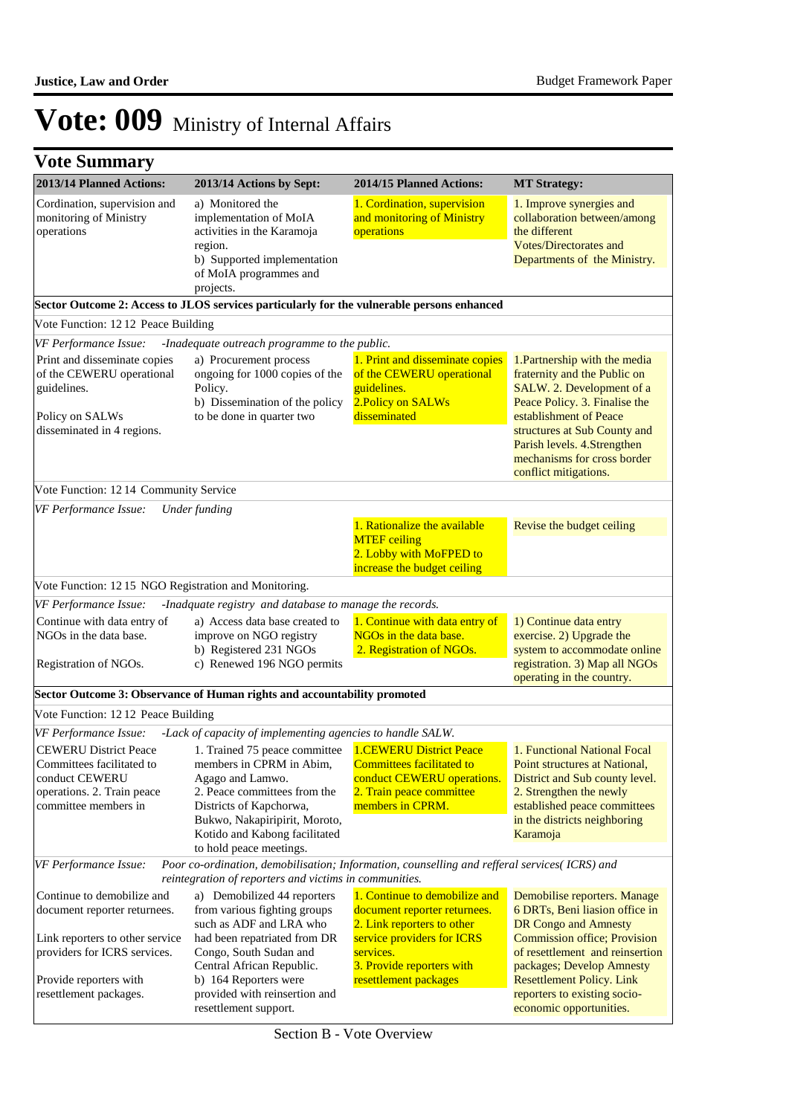|  | <b>Vote Summary</b> |  |
|--|---------------------|--|
|--|---------------------|--|

| 2013/14 Planned Actions:                                                                                                          | 2013/14 Actions by Sept:                                                                                                                                                                                                              | 2014/15 Planned Actions:                                                                                                                         | <b>MT Strategy:</b>                                                                                                                                                                                                                                                          |  |  |  |
|-----------------------------------------------------------------------------------------------------------------------------------|---------------------------------------------------------------------------------------------------------------------------------------------------------------------------------------------------------------------------------------|--------------------------------------------------------------------------------------------------------------------------------------------------|------------------------------------------------------------------------------------------------------------------------------------------------------------------------------------------------------------------------------------------------------------------------------|--|--|--|
| Cordination, supervision and<br>monitoring of Ministry<br>operations                                                              | a) Monitored the<br>implementation of MoIA<br>activities in the Karamoja<br>region.<br>b) Supported implementation<br>of MoIA programmes and<br>projects.                                                                             | 1. Cordination, supervision<br>and monitoring of Ministry<br>operations                                                                          | 1. Improve synergies and<br>collaboration between/among<br>the different<br><b>Votes/Directorates and</b><br>Departments of the Ministry.                                                                                                                                    |  |  |  |
|                                                                                                                                   | Sector Outcome 2: Access to JLOS services particularly for the vulnerable persons enhanced                                                                                                                                            |                                                                                                                                                  |                                                                                                                                                                                                                                                                              |  |  |  |
| Vote Function: 1212 Peace Building                                                                                                |                                                                                                                                                                                                                                       |                                                                                                                                                  |                                                                                                                                                                                                                                                                              |  |  |  |
| VF Performance Issue:                                                                                                             | -Inadequate outreach programme to the public.                                                                                                                                                                                         |                                                                                                                                                  |                                                                                                                                                                                                                                                                              |  |  |  |
| Print and disseminate copies<br>of the CEWERU operational<br>guidelines.<br>Policy on SALWs<br>disseminated in 4 regions.         | a) Procurement process<br>ongoing for 1000 copies of the<br>Policy.<br>b) Dissemination of the policy<br>to be done in quarter two                                                                                                    | 1. Print and disseminate copies<br>of the CEWERU operational<br>guidelines.<br>2. Policy on SALWs<br>disseminated                                | 1. Partnership with the media<br>fraternity and the Public on<br>SALW. 2. Development of a<br>Peace Policy. 3. Finalise the<br>establishment of Peace<br>structures at Sub County and<br>Parish levels. 4.Strengthen<br>mechanisms for cross border<br>conflict mitigations. |  |  |  |
| Vote Function: 12 14 Community Service                                                                                            |                                                                                                                                                                                                                                       |                                                                                                                                                  |                                                                                                                                                                                                                                                                              |  |  |  |
| VF Performance Issue:                                                                                                             | Under funding                                                                                                                                                                                                                         |                                                                                                                                                  |                                                                                                                                                                                                                                                                              |  |  |  |
|                                                                                                                                   |                                                                                                                                                                                                                                       | 1. Rationalize the available<br><b>MTEF</b> ceiling<br>2. Lobby with MoFPED to<br>increase the budget ceiling                                    | Revise the budget ceiling                                                                                                                                                                                                                                                    |  |  |  |
| Vote Function: 1215 NGO Registration and Monitoring.                                                                              |                                                                                                                                                                                                                                       |                                                                                                                                                  |                                                                                                                                                                                                                                                                              |  |  |  |
| VF Performance Issue:                                                                                                             | -Inadquate registry and database to manage the records.                                                                                                                                                                               |                                                                                                                                                  |                                                                                                                                                                                                                                                                              |  |  |  |
| Continue with data entry of<br>NGOs in the data base.<br>Registration of NGOs.                                                    | a) Access data base created to<br>improve on NGO registry<br>b) Registered 231 NGOs<br>c) Renewed 196 NGO permits                                                                                                                     | 1. Continue with data entry of<br>NGOs in the data base.<br>2. Registration of NGOs.                                                             | 1) Continue data entry<br>exercise. 2) Upgrade the<br>system to accommodate online<br>registration. 3) Map all NGOs<br>operating in the country.                                                                                                                             |  |  |  |
|                                                                                                                                   | Sector Outcome 3: Observance of Human rights and accountability promoted                                                                                                                                                              |                                                                                                                                                  |                                                                                                                                                                                                                                                                              |  |  |  |
| Vote Function: 12 12 Peace Building                                                                                               |                                                                                                                                                                                                                                       |                                                                                                                                                  |                                                                                                                                                                                                                                                                              |  |  |  |
| VF Performance Issue:                                                                                                             | -Lack of capacity of implementing agencies to handle SALW.                                                                                                                                                                            |                                                                                                                                                  |                                                                                                                                                                                                                                                                              |  |  |  |
| <b>CEWERU District Peace</b><br>Committees facilitated to<br>conduct CEWERU<br>operations. 2. Train peace<br>committee members in | 1. Trained 75 peace committee<br>members in CPRM in Abim,<br>Agago and Lamwo.<br>2. Peace committees from the<br>Districts of Kapchorwa,<br>Bukwo, Nakapiripirit, Moroto,<br>Kotido and Kabong facilitated<br>to hold peace meetings. | <b>1.CEWERU District Peace</b><br><b>Committees facilitated to</b><br>conduct CEWERU operations.<br>2. Train peace committee<br>members in CPRM. | 1. Functional National Focal<br>Point structures at National.<br>District and Sub county level.<br>2. Strengthen the newly<br>established peace committees<br>in the districts neighboring<br>Karamoja                                                                       |  |  |  |
| Poor co-ordination, demobilisation; Information, counselling and refferal services(ICRS) and<br>VF Performance Issue:             |                                                                                                                                                                                                                                       |                                                                                                                                                  |                                                                                                                                                                                                                                                                              |  |  |  |
|                                                                                                                                   | reintegration of reporters and victims in communities.                                                                                                                                                                                |                                                                                                                                                  |                                                                                                                                                                                                                                                                              |  |  |  |
| Continue to demobilize and<br>document reporter returnees.<br>Link reporters to other service                                     | a) Demobilized 44 reporters<br>from various fighting groups<br>such as ADF and LRA who<br>had been repatriated from DR                                                                                                                | 1. Continue to demobilize and<br>document reporter returnees.<br>2. Link reporters to other<br>service providers for ICRS                        | Demobilise reporters. Manage<br>6 DRTs, Beni liasion office in<br>DR Congo and Amnesty<br><b>Commission office; Provision</b>                                                                                                                                                |  |  |  |
| providers for ICRS services.                                                                                                      | Congo, South Sudan and<br>Central African Republic.                                                                                                                                                                                   | services.<br>3. Provide reporters with<br>resettlement packages                                                                                  | of resettlement and reinsertion<br>packages; Develop Amnesty                                                                                                                                                                                                                 |  |  |  |
| Provide reporters with<br>resettlement packages.                                                                                  | b) 164 Reporters were<br>provided with reinsertion and<br>resettlement support.                                                                                                                                                       |                                                                                                                                                  | <b>Resettlement Policy. Link</b><br>reporters to existing socio-<br>economic opportunities.                                                                                                                                                                                  |  |  |  |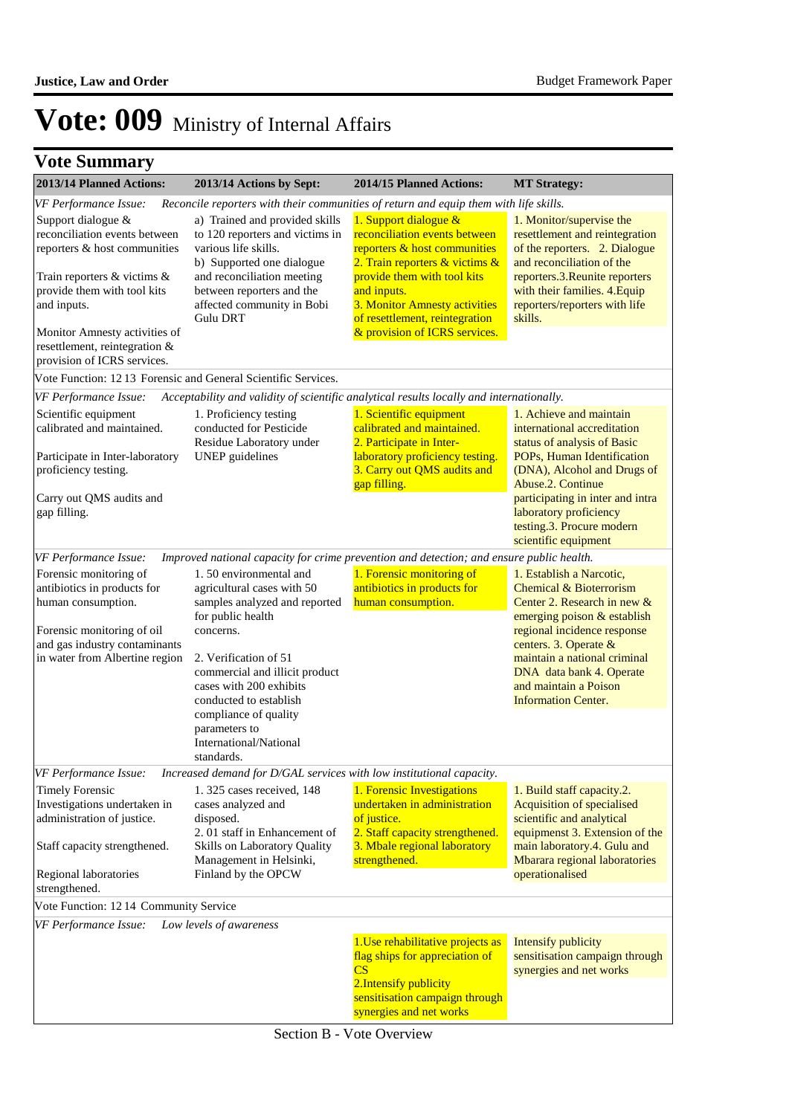## **Vote Summary**

| 2013/14 Planned Actions:                                                                                                                                                     | 2013/14 Actions by Sept:                                                                                                                                                                                                                                                                                                  | 2014/15 Planned Actions:                                                                                                                                                                                                                  | <b>MT Strategy:</b>                                                                                                                                                                                                                                                                          |
|------------------------------------------------------------------------------------------------------------------------------------------------------------------------------|---------------------------------------------------------------------------------------------------------------------------------------------------------------------------------------------------------------------------------------------------------------------------------------------------------------------------|-------------------------------------------------------------------------------------------------------------------------------------------------------------------------------------------------------------------------------------------|----------------------------------------------------------------------------------------------------------------------------------------------------------------------------------------------------------------------------------------------------------------------------------------------|
| VF Performance Issue:                                                                                                                                                        | Reconcile reporters with their communities of return and equip them with life skills.                                                                                                                                                                                                                                     |                                                                                                                                                                                                                                           |                                                                                                                                                                                                                                                                                              |
| Support dialogue &<br>reconciliation events between<br>reporters & host communities<br>Train reporters $\&$ victims $\&$<br>provide them with tool kits<br>and inputs.       | a) Trained and provided skills<br>to 120 reporters and victims in<br>various life skills.<br>b) Supported one dialogue<br>and reconciliation meeting<br>between reporters and the<br>affected community in Bobi<br><b>Gulu DRT</b>                                                                                        | 1. Support dialogue &<br>reconciliation events between<br>reporters & host communities<br>2. Train reporters & victims &<br>provide them with tool kits<br>and inputs.<br>3. Monitor Amnesty activities<br>of resettlement, reintegration | 1. Monitor/supervise the<br>resettlement and reintegration<br>of the reporters. 2. Dialogue<br>and reconciliation of the<br>reporters.3. Reunite reporters<br>with their families. 4. Equip<br>reporters/reporters with life<br>skills.                                                      |
| Monitor Amnesty activities of<br>resettlement, reintegration &<br>provision of ICRS services.                                                                                |                                                                                                                                                                                                                                                                                                                           | & provision of ICRS services.                                                                                                                                                                                                             |                                                                                                                                                                                                                                                                                              |
| Vote Function: 1213 Forensic and General Scientific Services.                                                                                                                |                                                                                                                                                                                                                                                                                                                           |                                                                                                                                                                                                                                           |                                                                                                                                                                                                                                                                                              |
| VF Performance Issue:                                                                                                                                                        | Acceptability and validity of scientific analytical results locally and internationally.                                                                                                                                                                                                                                  |                                                                                                                                                                                                                                           |                                                                                                                                                                                                                                                                                              |
| Scientific equipment<br>calibrated and maintained.<br>Participate in Inter-laboratory<br>proficiency testing.                                                                | 1. Proficiency testing<br>conducted for Pesticide<br>Residue Laboratory under<br><b>UNEP</b> guidelines                                                                                                                                                                                                                   | 1. Scientific equipment<br>calibrated and maintained.<br>2. Participate in Inter-<br>laboratory proficiency testing.<br>3. Carry out QMS audits and<br>gap filling.                                                                       | 1. Achieve and maintain<br>international accreditation<br>status of analysis of Basic<br>POPs, Human Identification<br>(DNA), Alcohol and Drugs of<br>Abuse.2. Continue                                                                                                                      |
| Carry out QMS audits and<br>gap filling.                                                                                                                                     |                                                                                                                                                                                                                                                                                                                           |                                                                                                                                                                                                                                           | participating in inter and intra<br>laboratory proficiency<br>testing.3. Procure modern<br>scientific equipment                                                                                                                                                                              |
| VF Performance Issue:                                                                                                                                                        | Improved national capacity for crime prevention and detection; and ensure public health.                                                                                                                                                                                                                                  |                                                                                                                                                                                                                                           |                                                                                                                                                                                                                                                                                              |
| Forensic monitoring of<br>antibiotics in products for<br>human consumption.<br>Forensic monitoring of oil<br>and gas industry contaminants<br>in water from Albertine region | 1.50 environmental and<br>agricultural cases with 50<br>samples analyzed and reported<br>for public health<br>concerns.<br>2. Verification of 51<br>commercial and illicit product<br>cases with 200 exhibits<br>conducted to establish<br>compliance of quality<br>parameters to<br>International/National<br>standards. | 1. Forensic monitoring of<br>antibiotics in products for<br>human consumption.                                                                                                                                                            | 1. Establish a Narcotic,<br>Chemical & Bioterrorism<br>Center 2. Research in new &<br>emerging poison & establish<br>regional incidence response<br>centers. 3. Operate &<br>maintain a national criminal<br>DNA data bank 4. Operate<br>and maintain a Poison<br><b>Information Center.</b> |
| VF Performance Issue:                                                                                                                                                        | Increased demand for D/GAL services with low institutional capacity.                                                                                                                                                                                                                                                      |                                                                                                                                                                                                                                           |                                                                                                                                                                                                                                                                                              |
| <b>Timely Forensic</b><br>Investigations undertaken in<br>administration of justice.<br>Staff capacity strengthened.<br>Regional laboratories<br>strengthened.               | 1.325 cases received, 148<br>cases analyzed and<br>disposed.<br>2.01 staff in Enhancement of<br>Skills on Laboratory Quality<br>Management in Helsinki,<br>Finland by the OPCW                                                                                                                                            | 1. Forensic Investigations<br>undertaken in administration<br>of justice.<br>2. Staff capacity strengthened.<br>3. Mbale regional laboratory<br>strengthened.                                                                             | 1. Build staff capacity.2.<br>Acquisition of specialised<br>scientific and analytical<br>equipmenst 3. Extension of the<br>main laboratory.4. Gulu and<br>Mbarara regional laboratories<br>operationalised                                                                                   |
| Vote Function: 12 14 Community Service                                                                                                                                       |                                                                                                                                                                                                                                                                                                                           |                                                                                                                                                                                                                                           |                                                                                                                                                                                                                                                                                              |
| VF Performance Issue:                                                                                                                                                        | Low levels of awareness                                                                                                                                                                                                                                                                                                   | 1. Use rehabilitative projects as<br>flag ships for appreciation of<br>$\overline{\text{CS}}$<br>2. Intensify publicity<br>sensitisation campaign through<br>synergies and net works                                                      | <b>Intensify publicity</b><br>sensitisation campaign through<br>synergies and net works                                                                                                                                                                                                      |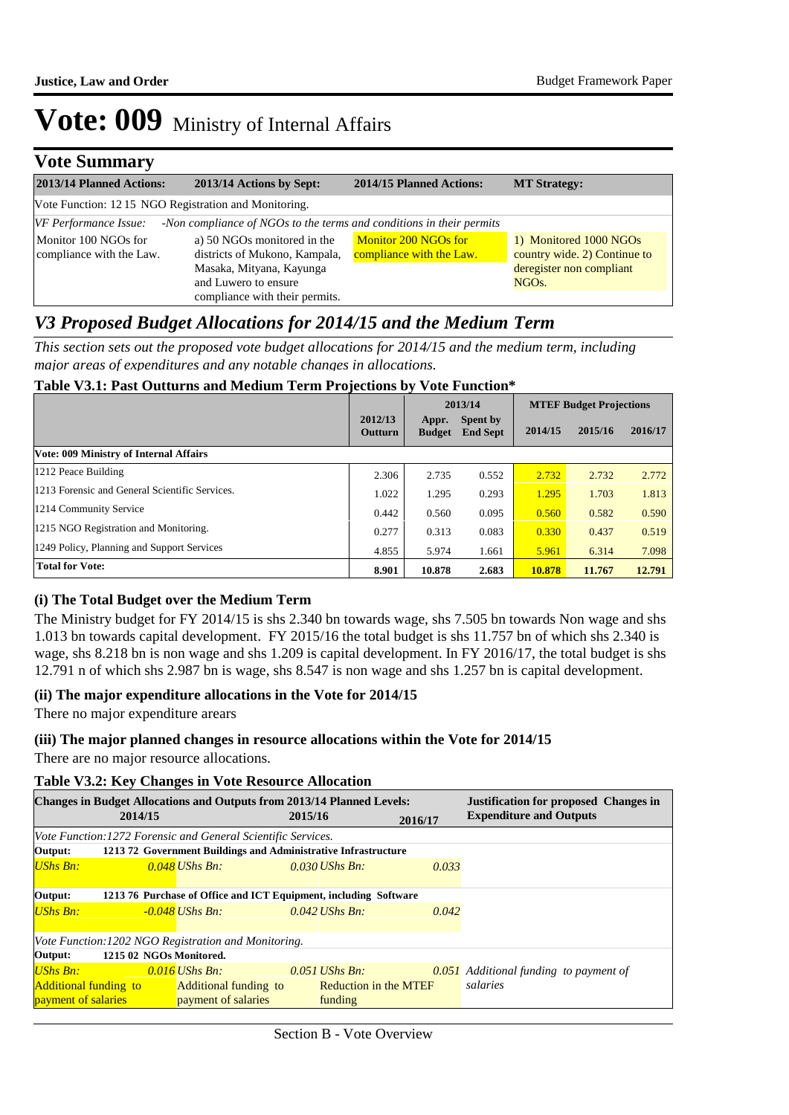### **Vote Summary**

| 2013/14 Planned Actions:                                                           | 2013/14 Actions by Sept:                                             | 2014/15 Planned Actions:                         | <b>MT Strategy:</b>                                    |  |  |  |  |
|------------------------------------------------------------------------------------|----------------------------------------------------------------------|--------------------------------------------------|--------------------------------------------------------|--|--|--|--|
|                                                                                    | Vote Function: 12 15 NGO Registration and Monitoring.                |                                                  |                                                        |  |  |  |  |
| VF Performance Issue:                                                              | -Non compliance of NGOs to the terms and conditions in their permits |                                                  |                                                        |  |  |  |  |
| Monitor 100 NGOs for<br>compliance with the Law.                                   | a) 50 NGOs monitored in the<br>districts of Mukono, Kampala,         | Monitor 200 NGOs for<br>compliance with the Law. | 1) Monitored 1000 NGOs<br>country wide. 2) Continue to |  |  |  |  |
| Masaka, Mityana, Kayunga<br>and Luwero to ensure<br>compliance with their permits. |                                                                      |                                                  | deregister non compliant<br>NGO <sub>s.</sub>          |  |  |  |  |

### *V3 Proposed Budget Allocations for 2014/15 and the Medium Term*

*This section sets out the proposed vote budget allocations for 2014/15 and the medium term, including major areas of expenditures and any notable changes in allocations.* 

### **Table V3.1: Past Outturns and Medium Term Projections by Vote Function\***

|                                                |                    | 2013/14                |                                    | <b>MTEF Budget Projections</b> |         |         |
|------------------------------------------------|--------------------|------------------------|------------------------------------|--------------------------------|---------|---------|
|                                                | 2012/13<br>Outturn | Appr.<br><b>Budget</b> | <b>Spent by</b><br><b>End Sept</b> | 2014/15                        | 2015/16 | 2016/17 |
| Vote: 009 Ministry of Internal Affairs         |                    |                        |                                    |                                |         |         |
| 1212 Peace Building                            | 2.306              | 2.735                  | 0.552                              | 2.732                          | 2.732   | 2.772   |
| 1213 Forensic and General Scientific Services. | 1.022              | 1.295                  | 0.293                              | 1.295                          | 1.703   | 1.813   |
| 1214 Community Service                         | 0.442              | 0.560                  | 0.095                              | 0.560                          | 0.582   | 0.590   |
| 1215 NGO Registration and Monitoring.          | 0.277              | 0.313                  | 0.083                              | 0.330                          | 0.437   | 0.519   |
| 1249 Policy, Planning and Support Services     | 4.855              | 5.974                  | 1.661                              | 5.961                          | 6.314   | 7.098   |
| <b>Total for Vote:</b>                         | 8.901              | 10.878                 | 2.683                              | 10.878                         | 11.767  | 12.791  |

### **(i) The Total Budget over the Medium Term**

The Ministry budget for FY 2014/15 is shs 2.340 bn towards wage, shs 7.505 bn towards Non wage and shs 1.013 bn towards capital development. FY 2015/16 the total budget is shs 11.757 bn of which shs 2.340 is wage, shs 8.218 bn is non wage and shs 1.209 is capital development. In FY 2016/17, the total budget is shs 12.791 n of which shs 2.987 bn is wage, shs 8.547 is non wage and shs 1.257 bn is capital development.

#### **(ii) The major expenditure allocations in the Vote for 2014/15**

There no major expenditure arears

#### **(iii) The major planned changes in resource allocations within the Vote for 2014/15**

There are no major resource allocations.

#### **Table V3.2: Key Changes in Vote Resource Allocation**

|                              |                                                      |                                                               | <b>Changes in Budget Allocations and Outputs from 2013/14 Planned Levels:</b> |         | <b>Justification for proposed Changes in</b>  |  |
|------------------------------|------------------------------------------------------|---------------------------------------------------------------|-------------------------------------------------------------------------------|---------|-----------------------------------------------|--|
|                              | 2014/15                                              |                                                               | 2015/16                                                                       | 2016/17 | <b>Expenditure and Outputs</b>                |  |
|                              |                                                      | Vote Function: 1272 Forensic and General Scientific Services. |                                                                               |         |                                               |  |
| Output:                      |                                                      |                                                               | 121372 Government Buildings and Administrative Infrastructure                 |         |                                               |  |
| $UShs Bn:$                   |                                                      | $0.048$ UShs Bn:                                              | $0.030$ UShs Bn:                                                              | 0.033   |                                               |  |
| Output:                      |                                                      |                                                               | 1213 76 Purchase of Office and ICT Equipment, including Software              |         |                                               |  |
| $UShs Bn:$                   |                                                      | -0.048 UShs Bn:                                               | $0.042$ UShs Bn:                                                              | 0.042   |                                               |  |
|                              | Vote Function: 1202 NGO Registration and Monitoring. |                                                               |                                                                               |         |                                               |  |
| Output:                      | 1215 02 NGOs Monitored.                              |                                                               |                                                                               |         |                                               |  |
| UShs Bn:                     |                                                      | $0.016$ UShs Bn:                                              | $0.051$ UShs Bn:                                                              |         | <b>0.051</b> Additional funding to payment of |  |
| <b>Additional funding to</b> |                                                      | Additional funding to                                         | Reduction in the MTEF                                                         |         | salaries                                      |  |
| <b>payment</b> of salaries   |                                                      | payment of salaries                                           | funding                                                                       |         |                                               |  |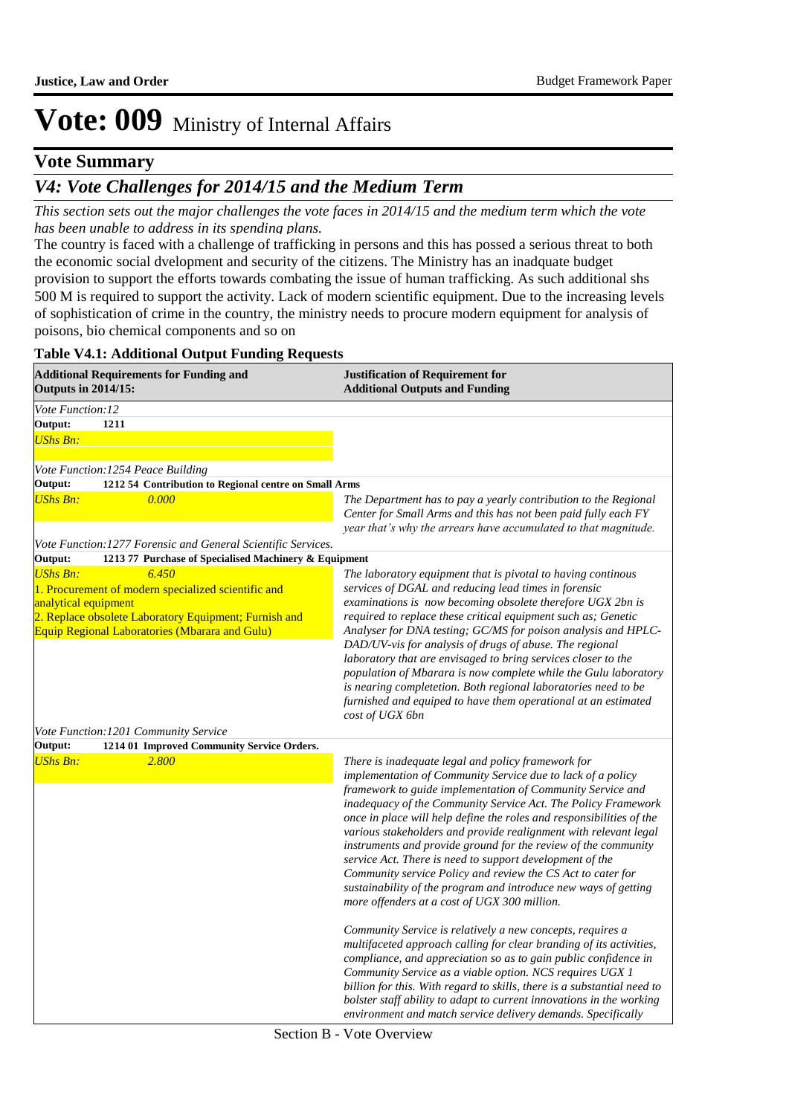### **Vote Summary**

### *V4: Vote Challenges for 2014/15 and the Medium Term*

*This section sets out the major challenges the vote faces in 2014/15 and the medium term which the vote has been unable to address in its spending plans.*

The country is faced with a challenge of trafficking in persons and this has possed a serious threat to both the economic social dvelopment and security of the citizens. The Ministry has an inadquate budget provision to support the efforts towards combating the issue of human trafficking. As such additional shs 500 M is required to support the activity. Lack of modern scientific equipment. Due to the increasing levels of sophistication of crime in the country, the ministry needs to procure modern equipment for analysis of poisons, bio chemical components and so on

#### **Table V4.1: Additional Output Funding Requests**

| <b>Additional Requirements for Funding and</b><br><b>Outputs in 2014/15:</b>                                                                                                                  | <b>Justification of Requirement for</b><br><b>Additional Outputs and Funding</b>                                                                                                                                                                                                                                                                                                                                                                                                                                                                                                                                                                                                                             |
|-----------------------------------------------------------------------------------------------------------------------------------------------------------------------------------------------|--------------------------------------------------------------------------------------------------------------------------------------------------------------------------------------------------------------------------------------------------------------------------------------------------------------------------------------------------------------------------------------------------------------------------------------------------------------------------------------------------------------------------------------------------------------------------------------------------------------------------------------------------------------------------------------------------------------|
| Vote Function:12                                                                                                                                                                              |                                                                                                                                                                                                                                                                                                                                                                                                                                                                                                                                                                                                                                                                                                              |
| <b>Output:</b><br>1211<br><b>UShs Bn:</b>                                                                                                                                                     |                                                                                                                                                                                                                                                                                                                                                                                                                                                                                                                                                                                                                                                                                                              |
| Vote Function: 1254 Peace Building                                                                                                                                                            |                                                                                                                                                                                                                                                                                                                                                                                                                                                                                                                                                                                                                                                                                                              |
| Output:<br>1212 54 Contribution to Regional centre on Small Arms                                                                                                                              |                                                                                                                                                                                                                                                                                                                                                                                                                                                                                                                                                                                                                                                                                                              |
| <b>UShs Bn:</b><br>0.000                                                                                                                                                                      | The Department has to pay a yearly contribution to the Regional<br>Center for Small Arms and this has not been paid fully each FY<br>year that's why the arrears have accumulated to that magnitude.                                                                                                                                                                                                                                                                                                                                                                                                                                                                                                         |
| Vote Function: 1277 Forensic and General Scientific Services.                                                                                                                                 |                                                                                                                                                                                                                                                                                                                                                                                                                                                                                                                                                                                                                                                                                                              |
| Output:<br>1213 77 Purchase of Specialised Machinery & Equipment<br><b>UShs Bn:</b><br>6.450                                                                                                  | The laboratory equipment that is pivotal to having continous                                                                                                                                                                                                                                                                                                                                                                                                                                                                                                                                                                                                                                                 |
| 1. Procurement of modern specialized scientific and<br>analytical equipment<br>2. Replace obsolete Laboratory Equipment; Furnish and<br><b>Equip Regional Laboratories (Mbarara and Gulu)</b> | services of DGAL and reducing lead times in forensic<br>examinations is now becoming obsolete therefore UGX 2bn is<br>required to replace these critical equipment such as; Genetic<br>Analyser for DNA testing; GC/MS for poison analysis and HPLC-<br>DAD/UV-vis for analysis of drugs of abuse. The regional<br>laboratory that are envisaged to bring services closer to the<br>population of Mbarara is now complete while the Gulu laboratory<br>is nearing completetion. Both regional laboratories need to be<br>furnished and equiped to have them operational at an estimated<br>cost of UGX 6bn                                                                                                   |
| Vote Function: 1201 Community Service                                                                                                                                                         |                                                                                                                                                                                                                                                                                                                                                                                                                                                                                                                                                                                                                                                                                                              |
| Output:<br>1214 01 Improved Community Service Orders.                                                                                                                                         |                                                                                                                                                                                                                                                                                                                                                                                                                                                                                                                                                                                                                                                                                                              |
| <b>UShs Bn:</b><br>2.800                                                                                                                                                                      | There is inadequate legal and policy framework for<br>implementation of Community Service due to lack of a policy<br>framework to guide implementation of Community Service and<br>inadequacy of the Community Service Act. The Policy Framework<br>once in place will help define the roles and responsibilities of the<br>various stakeholders and provide realignment with relevant legal<br>instruments and provide ground for the review of the community<br>service Act. There is need to support development of the<br>Community service Policy and review the CS Act to cater for<br>sustainability of the program and introduce new ways of getting<br>more offenders at a cost of UGX 300 million. |
|                                                                                                                                                                                               | Community Service is relatively a new concepts, requires a<br>multifaceted approach calling for clear branding of its activities,<br>compliance, and appreciation so as to gain public confidence in<br>Community Service as a viable option. NCS requires UGX 1<br>billion for this. With regard to skills, there is a substantial need to<br>bolster staff ability to adapt to current innovations in the working<br>environment and match service delivery demands. Specifically                                                                                                                                                                                                                          |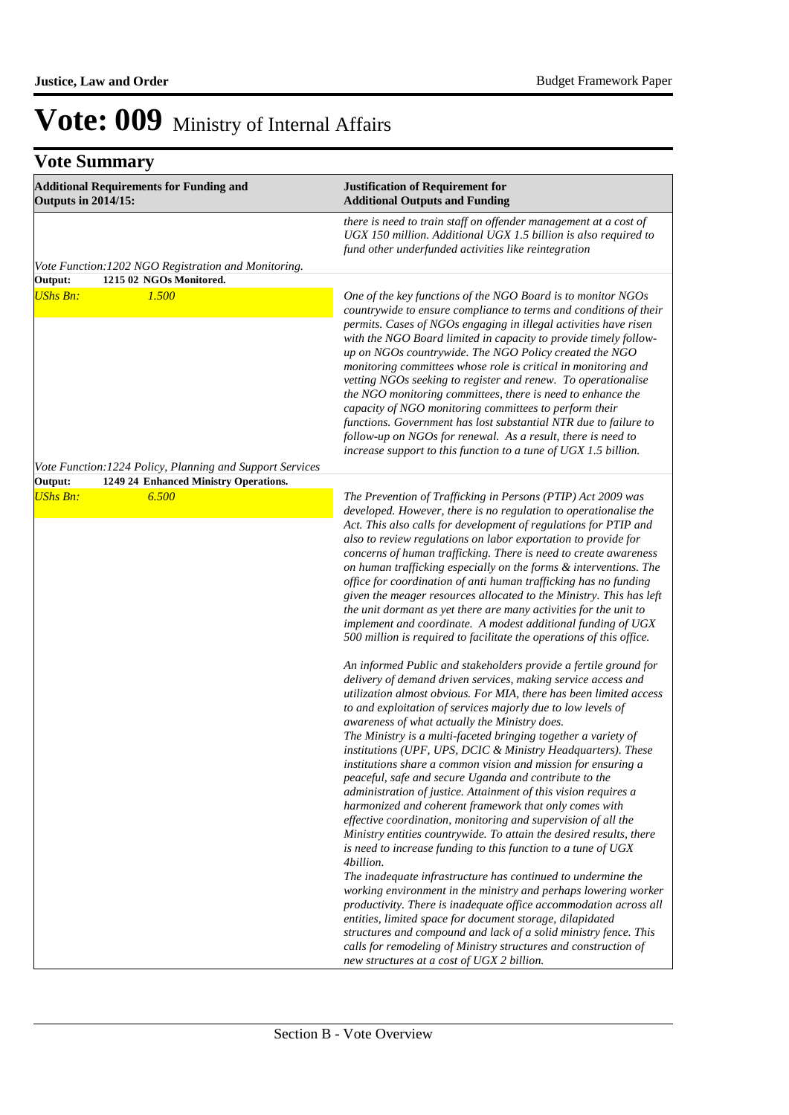## **Vote Summary**

| <b>Additional Requirements for Funding and</b><br><b>Outputs in 2014/15:</b> | <b>Justification of Requirement for</b><br><b>Additional Outputs and Funding</b>                                                                                                                                                                                                                                                                                                                                                                                                                                                                                                                                                                                                                                                                                                                                                                                                                                                                                                                                                                                                                                                                                                                                                                                                                                                                                                                                                                                                                                                                                                                                                                                                                                                                                                                                                                                                                                                                                                                                                                                                                                                                                              |  |  |
|------------------------------------------------------------------------------|-------------------------------------------------------------------------------------------------------------------------------------------------------------------------------------------------------------------------------------------------------------------------------------------------------------------------------------------------------------------------------------------------------------------------------------------------------------------------------------------------------------------------------------------------------------------------------------------------------------------------------------------------------------------------------------------------------------------------------------------------------------------------------------------------------------------------------------------------------------------------------------------------------------------------------------------------------------------------------------------------------------------------------------------------------------------------------------------------------------------------------------------------------------------------------------------------------------------------------------------------------------------------------------------------------------------------------------------------------------------------------------------------------------------------------------------------------------------------------------------------------------------------------------------------------------------------------------------------------------------------------------------------------------------------------------------------------------------------------------------------------------------------------------------------------------------------------------------------------------------------------------------------------------------------------------------------------------------------------------------------------------------------------------------------------------------------------------------------------------------------------------------------------------------------------|--|--|
|                                                                              | there is need to train staff on offender management at a cost of<br>UGX 150 million. Additional UGX 1.5 billion is also required to<br>fund other underfunded activities like reintegration                                                                                                                                                                                                                                                                                                                                                                                                                                                                                                                                                                                                                                                                                                                                                                                                                                                                                                                                                                                                                                                                                                                                                                                                                                                                                                                                                                                                                                                                                                                                                                                                                                                                                                                                                                                                                                                                                                                                                                                   |  |  |
| Vote Function: 1202 NGO Registration and Monitoring.                         |                                                                                                                                                                                                                                                                                                                                                                                                                                                                                                                                                                                                                                                                                                                                                                                                                                                                                                                                                                                                                                                                                                                                                                                                                                                                                                                                                                                                                                                                                                                                                                                                                                                                                                                                                                                                                                                                                                                                                                                                                                                                                                                                                                               |  |  |
| Output:<br>1215 02 NGOs Monitored.                                           |                                                                                                                                                                                                                                                                                                                                                                                                                                                                                                                                                                                                                                                                                                                                                                                                                                                                                                                                                                                                                                                                                                                                                                                                                                                                                                                                                                                                                                                                                                                                                                                                                                                                                                                                                                                                                                                                                                                                                                                                                                                                                                                                                                               |  |  |
| <b>UShs Bn:</b><br>1.500                                                     | One of the key functions of the NGO Board is to monitor NGOs<br>countrywide to ensure compliance to terms and conditions of their<br>permits. Cases of NGOs engaging in illegal activities have risen<br>with the NGO Board limited in capacity to provide timely follow-<br>up on NGOs countrywide. The NGO Policy created the NGO<br>monitoring committees whose role is critical in monitoring and<br>vetting NGOs seeking to register and renew. To operationalise<br>the NGO monitoring committees, there is need to enhance the<br>capacity of NGO monitoring committees to perform their<br>functions. Government has lost substantial NTR due to failure to<br>follow-up on NGOs for renewal. As a result, there is need to<br>increase support to this function to a tune of UGX 1.5 billion.                                                                                                                                                                                                                                                                                                                                                                                                                                                                                                                                                                                                                                                                                                                                                                                                                                                                                                                                                                                                                                                                                                                                                                                                                                                                                                                                                                        |  |  |
| Vote Function: 1224 Policy, Planning and Support Services                    |                                                                                                                                                                                                                                                                                                                                                                                                                                                                                                                                                                                                                                                                                                                                                                                                                                                                                                                                                                                                                                                                                                                                                                                                                                                                                                                                                                                                                                                                                                                                                                                                                                                                                                                                                                                                                                                                                                                                                                                                                                                                                                                                                                               |  |  |
| Output:<br>1249 24 Enhanced Ministry Operations.                             |                                                                                                                                                                                                                                                                                                                                                                                                                                                                                                                                                                                                                                                                                                                                                                                                                                                                                                                                                                                                                                                                                                                                                                                                                                                                                                                                                                                                                                                                                                                                                                                                                                                                                                                                                                                                                                                                                                                                                                                                                                                                                                                                                                               |  |  |
| <b>UShs Bn:</b><br>6.500                                                     | The Prevention of Trafficking in Persons (PTIP) Act 2009 was<br>developed. However, there is no regulation to operationalise the<br>Act. This also calls for development of regulations for PTIP and<br>also to review regulations on labor exportation to provide for<br>concerns of human trafficking. There is need to create awareness<br>on human trafficking especially on the forms & interventions. The<br>office for coordination of anti human trafficking has no funding<br>given the meager resources allocated to the Ministry. This has left<br>the unit dormant as yet there are many activities for the unit to<br>implement and coordinate. A modest additional funding of UGX<br>500 million is required to facilitate the operations of this office.<br>An informed Public and stakeholders provide a fertile ground for<br>delivery of demand driven services, making service access and<br>utilization almost obvious. For MIA, there has been limited access<br>to and exploitation of services majorly due to low levels of<br>awareness of what actually the Ministry does.<br>The Ministry is a multi-faceted bringing together a variety of<br>institutions (UPF, UPS, DCIC & Ministry Headquarters). These<br>institutions share a common vision and mission for ensuring a<br>peaceful, safe and secure Uganda and contribute to the<br>administration of justice. Attainment of this vision requires a<br>harmonized and coherent framework that only comes with<br>effective coordination, monitoring and supervision of all the<br>Ministry entities countrywide. To attain the desired results, there<br>is need to increase funding to this function to a tune of UGX<br>4billion.<br>The inadequate infrastructure has continued to undermine the<br>working environment in the ministry and perhaps lowering worker<br>productivity. There is inadequate office accommodation across all<br>entities, limited space for document storage, dilapidated<br>structures and compound and lack of a solid ministry fence. This<br>calls for remodeling of Ministry structures and construction of<br>new structures at a cost of UGX 2 billion. |  |  |